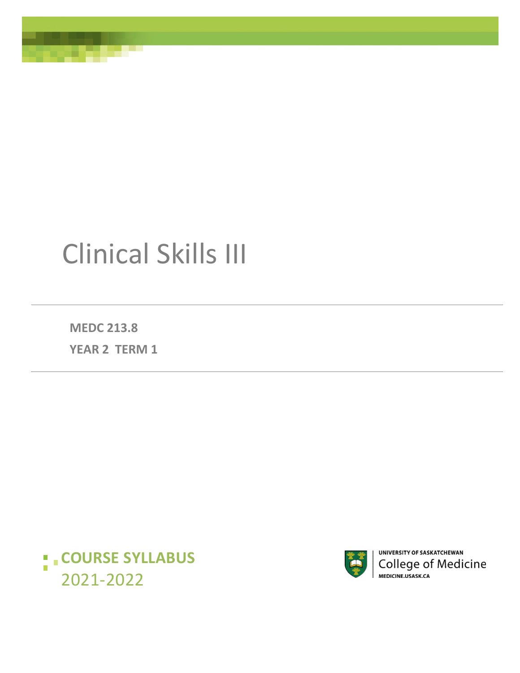# Clinical Skills III

**MEDC 213.8 YEAR 2 TERM 1**





UNIVERSITY OF SASKATCHEWAN College of Medicine<br>MEDICINE.USASK.CA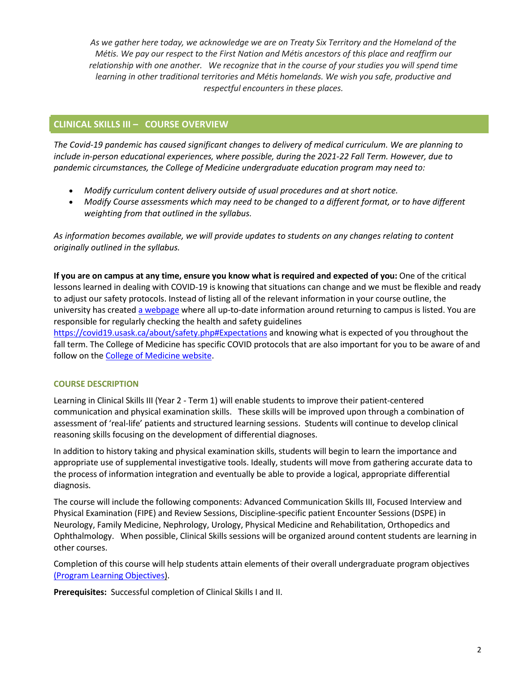*As we gather here today, we acknowledge we are on Treaty Six Territory and the Homeland of the Métis. We pay our respect to the First Nation and Métis ancestors of this place and reaffirm our relationship with one another. We recognize that in the course of your studies you will spend time learning in other traditional territories and Métis homelands. We wish you safe, productive and respectful encounters in these places.*

# **CLINICAL SKILLS III – COURSE OVERVIEW**

*The Covid-19 pandemic has caused significant changes to delivery of medical curriculum. We are planning to include in-person educational experiences, where possible, during the 2021-22 Fall Term. However, due to pandemic circumstances, the College of Medicine undergraduate education program may need to:* 

- *Modify curriculum content delivery outside of usual procedures and at short notice.*
- *Modify Course assessments which may need to be changed to a different format, or to have different weighting from that outlined in the syllabus.*

*As information becomes available, we will provide updates to students on any changes relating to content originally outlined in the syllabus.* 

**If you are on campus at any time, ensure you know what is required and expected of you:** One of the critical lessons learned in dealing with COVID-19 is knowing that situations can change and we must be flexible and ready to adjust our safety protocols. Instead of listing all of the relevant information in your course outline, the university has created [a webpage](https://covid19.usask.ca/students.php#Oncampusessentials) where all up-to-date information around returning to campus is listed. You are responsible for regularly checking the health and safety guidelines

<https://covid19.usask.ca/about/safety.php#Expectations>and knowing what is expected of you throughout the fall term. The College of Medicine has specific COVID protocols that are also important for you to be aware of and follow on the [College of Medicine website.](https://medicine.usask.ca/students/covid19.php)

# **COURSE DESCRIPTION**

Learning in Clinical Skills III (Year 2 - Term 1) will enable students to improve their patient-centered communication and physical examination skills. These skills will be improved upon through a combination of assessment of 'real-life' patients and structured learning sessions. Students will continue to develop clinical reasoning skills focusing on the development of differential diagnoses.

In addition to history taking and physical examination skills, students will begin to learn the importance and appropriate use of supplemental investigative tools. Ideally, students will move from gathering accurate data to the process of information integration and eventually be able to provide a logical, appropriate differential diagnosis.

The course will include the following components: Advanced Communication Skills III, Focused Interview and Physical Examination (FIPE) and Review Sessions, Discipline-specific patient Encounter Sessions (DSPE) in Neurology, Family Medicine, Nephrology, Urology, Physical Medicine and Rehabilitation, Orthopedics and Ophthalmology. When possible, Clinical Skills sessions will be organized around content students are learning in other courses.

Completion of this course will help students attain elements of their overall undergraduat[e program objectives](http://medicine.usask.ca/students/undergraduate/curriculum-schedules-objectives.php#Programobjectives) [\(Program Learning Objectives\).](https://medicine.usask.ca/students/undergraduate/curriculum-schedules-objectives.php#ProgramLearningObjectives)

**Prerequisites:** Successful completion of Clinical Skills I and II.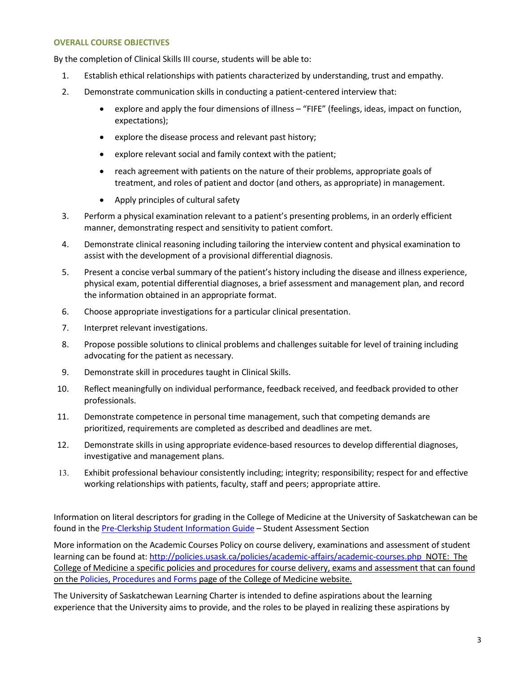#### **OVERALL COURSE OBJECTIVES**

By the completion of Clinical Skills III course, students will be able to:

- 1. Establish ethical relationships with patients characterized by understanding, trust and empathy.
- 2. Demonstrate communication skills in conducting a patient-centered interview that:
	- explore and apply the four dimensions of illness "FIFE" (feelings, ideas, impact on function, expectations);
	- explore the disease process and relevant past history;
	- explore relevant social and family context with the patient;
	- reach agreement with patients on the nature of their problems, appropriate goals of treatment, and roles of patient and doctor (and others, as appropriate) in management.
	- Apply principles of cultural safety
- 3. Perform a physical examination relevant to a patient's presenting problems, in an orderly efficient manner, demonstrating respect and sensitivity to patient comfort.
- 4. Demonstrate clinical reasoning including tailoring the interview content and physical examination to assist with the development of a provisional differential diagnosis.
- 5. Present a concise verbal summary of the patient's history including the disease and illness experience, physical exam, potential differential diagnoses, a brief assessment and management plan, and record the information obtained in an appropriate format.
- 6. Choose appropriate investigations for a particular clinical presentation.
- 7. Interpret relevant investigations.
- 8. Propose possible solutions to clinical problems and challenges suitable for level of training including advocating for the patient as necessary.
- 9. Demonstrate skill in procedures taught in Clinical Skills.
- 10. Reflect meaningfully on individual performance, feedback received, and feedback provided to other professionals.
- 11. Demonstrate competence in personal time management, such that competing demands are prioritized, requirements are completed as described and deadlines are met.
- 12. Demonstrate skills in using appropriate evidence-based resources to develop differential diagnoses, investigative and management plans.
- 13. Exhibit professional behaviour consistently including; integrity; responsibility; respect for and effective working relationships with patients, faculty, staff and peers; appropriate attire.

Information on literal descriptors for grading in the College of Medicine at the University of Saskatchewan can be found in th[e Pre-Clerkship Student Information Guide](https://medicine.usask.ca/documents/ugme/syllabi/student-guide-to-pre-clerkship.pdf) - Student Assessment Section

More information on the Academic Courses Policy on course delivery, examinations and assessment of student learning can be found at:<http://policies.usask.ca/policies/academic-affairs/academic-courses.php>NOTE: The College of Medicine a specific policies and procedures for course delivery, exams and assessment that can found on th[e Policies, Procedures and Forms](https://medicine.usask.ca/students/undergraduate/policies.php) page of the College of Medicine website.

The University of Saskatchewan Learning Charter is intended to define aspirations about the learning experience that the University aims to provide, and the roles to be played in realizing these aspirations by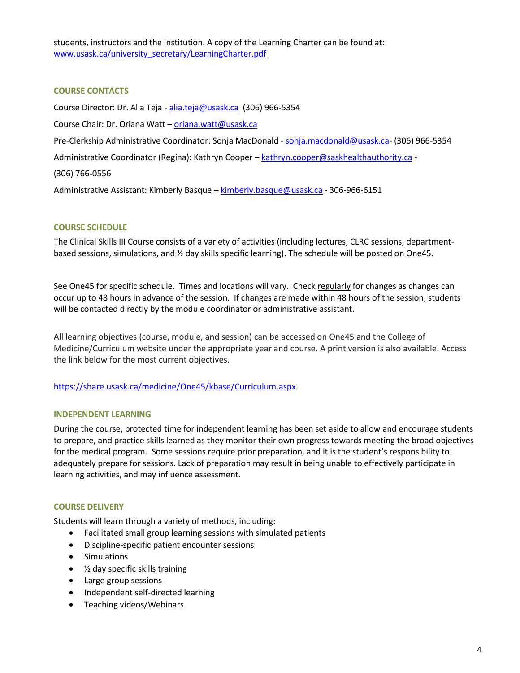students, instructors and the institution. A copy of the Learning Charter can be found at: [www.usask.ca/university\\_secretary/LearningCharter.pdf](http://www.usask.ca/university_secretary/LearningCharter.pdf)

# **COURSE CONTACTS**

Course Director: Dr. Alia Teja - [alia.teja@usask.ca](mailto:alia.teja@usask.ca) (306) 966-5354 Course Chair: Dr. Oriana Watt – [oriana.watt@usask.ca](mailto:oriana.watt@usask.ca)  Pre-Clerkship Administrative Coordinator: Sonja MacDonald - [sonja.macdonald@usask.ca-](mailto:megan.jenkins@usask.ca) (306) 966-5354 Administrative Coordinator (Regina): Kathryn Cooper – [kathryn.cooper@saskhealthauthority.ca](mailto:cassandra.eskra@saskhealthauthority.ca) -(306) 766-0556 Administrative Assistant: Kimberly Basque – [kimberly.basque@usask.ca](mailto:kimberly.basque@usask.ca) - 306-966-6151

# **COURSE SCHEDULE**

The Clinical Skills III Course consists of a variety of activities (including lectures, CLRC sessions, departmentbased sessions, simulations, and ½ day skills specific learning). The schedule will be posted on One45.

See One45 for specific schedule. Times and locations will vary. Check regularly for changes as changes can occur up to 48 hours in advance of the session. If changes are made within 48 hours of the session, students will be contacted directly by the module coordinator or administrative assistant.

All learning objectives (course, module, and session) can be accessed on One45 and the College of Medicine/Curriculum website under the appropriate year and course. A print version is also available. Access the link below for the most current objectives.

## [https://share.usask.ca/medicine/One45/kbase/Curriculum.aspx](https://share.usask.ca/medicine/one45/kbase/Curriculum.aspx)

## **INDEPENDENT LEARNING**

During the course, protected time for independent learning has been set aside to allow and encourage students to prepare, and practice skills learned as they monitor their own progress towards meeting the broad objectives for the medical program. Some sessions require prior preparation, and it is the student's responsibility to adequately prepare for sessions. Lack of preparation may result in being unable to effectively participate in learning activities, and may influence assessment.

## **COURSE DELIVERY**

Students will learn through a variety of methods, including:

- Facilitated small group learning sessions with simulated patients
- Discipline-specific patient encounter sessions
- Simulations
- ½ day specific skills training
- Large group sessions
- Independent self-directed learning
- Teaching videos/Webinars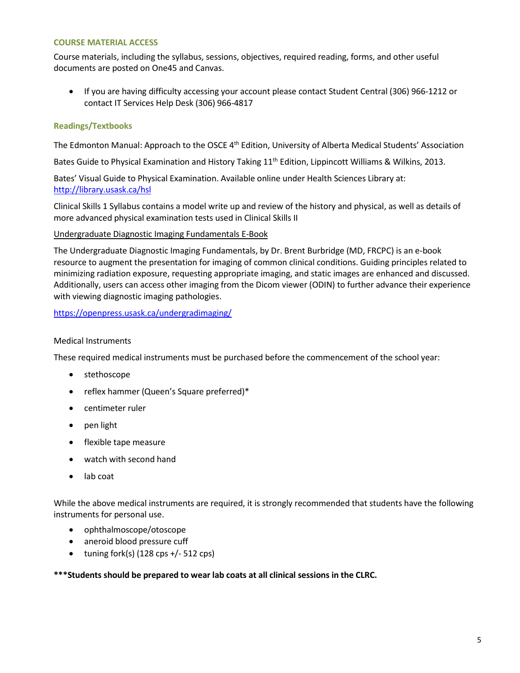## **COURSE MATERIAL ACCESS**

Course materials, including the syllabus, sessions, objectives, required reading, forms, and other useful documents are posted on One45 and Canvas.

 If you are having difficulty accessing your account please contact Student Central (306) 966-1212 or contact IT Services Help Desk (306) 966-4817

## **Readings/Textbooks**

The Edmonton Manual: Approach to the OSCE 4<sup>th</sup> Edition, University of Alberta Medical Students' Association

Bates Guide to Physical Examination and History Taking 11<sup>th</sup> Edition, Lippincott Williams & Wilkins, 2013.

Bates' Visual Guide to Physical Examination. Available online under Health Sciences Library at: <http://library.usask.ca/hsl>

Clinical Skills 1 Syllabus contains a model write up and review of the history and physical, as well as details of more advanced physical examination tests used in Clinical Skills II

## Undergraduate Diagnostic Imaging Fundamentals E-Book

The Undergraduate Diagnostic Imaging Fundamentals, by Dr. Brent Burbridge (MD, FRCPC) is an e-book resource to augment the presentation for imaging of common clinical conditions. Guiding principles related to minimizing radiation exposure, requesting appropriate imaging, and static images are enhanced and discussed. Additionally, users can access other imaging from the Dicom viewer (ODIN) to further advance their experience with viewing diagnostic imaging pathologies.

<https://openpress.usask.ca/undergradimaging/>

## Medical Instruments

These required medical instruments must be purchased before the commencement of the school year:

- stethoscope
- reflex hammer (Queen's Square preferred)\*
- centimeter ruler
- pen light
- flexible tape measure
- watch with second hand
- lab coat

While the above medical instruments are required, it is strongly recommended that students have the following instruments for personal use.

- ophthalmoscope/otoscope
- aneroid blood pressure cuff
- $\bullet$  tuning fork(s) (128 cps +/- 512 cps)

**\*\*\*Students should be prepared to wear lab coats at all clinical sessions in the CLRC.**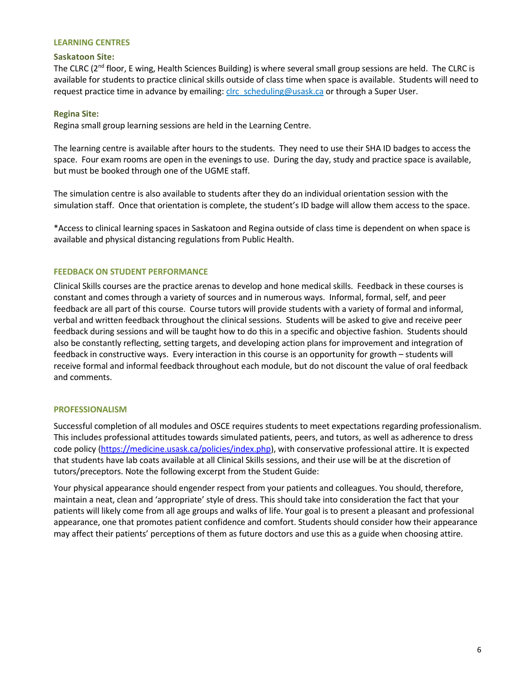#### **LEARNING CENTRES**

## **Saskatoon Site:**

The CLRC (2<sup>nd</sup> floor, E wing, Health Sciences Building) is where several small group sessions are held. The CLRC is available for students to practice clinical skills outside of class time when space is available. Students will need to request practice time in advance by emailing: [clrc\\_scheduling@usask.ca](mailto:clrc_scheduling@usask.ca) or through a Super User.

## **Regina Site:**

Regina small group learning sessions are held in the Learning Centre.

The learning centre is available after hours to the students. They need to use their SHA ID badges to access the space. Four exam rooms are open in the evenings to use. During the day, study and practice space is available, but must be booked through one of the UGME staff.

The simulation centre is also available to students after they do an individual orientation session with the simulation staff. Once that orientation is complete, the student's ID badge will allow them access to the space.

\*Access to clinical learning spaces in Saskatoon and Regina outside of class time is dependent on when space is available and physical distancing regulations from Public Health.

## **FEEDBACK ON STUDENT PERFORMANCE**

Clinical Skills courses are the practice arenas to develop and hone medical skills. Feedback in these courses is constant and comes through a variety of sources and in numerous ways. Informal, formal, self, and peer feedback are all part of this course. Course tutors will provide students with a variety of formal and informal, verbal and written feedback throughout the clinical sessions. Students will be asked to give and receive peer feedback during sessions and will be taught how to do this in a specific and objective fashion. Students should also be constantly reflecting, setting targets, and developing action plans for improvement and integration of feedback in constructive ways. Every interaction in this course is an opportunity for growth – students will receive formal and informal feedback throughout each module, but do not discount the value of oral feedback and comments.

## **PROFESSIONALISM**

Successful completion of all modules and OSCE requires students to meet expectations regarding professionalism. This includes professional attitudes towards simulated patients, peers, and tutors, as well as adherence to dress code policy [\(https://medicine.usask.ca/policies/index.php\)](https://medicine.usask.ca/policies/index.php), with conservative professional attire. It is expected that students have lab coats available at all Clinical Skills sessions, and their use will be at the discretion of tutors/preceptors. Note the following excerpt from the Student Guide:

Your physical appearance should engender respect from your patients and colleagues. You should, therefore, maintain a neat, clean and 'appropriate' style of dress. This should take into consideration the fact that your patients will likely come from all age groups and walks of life. Your goal is to present a pleasant and professional appearance, one that promotes patient confidence and comfort. Students should consider how their appearance may affect their patients' perceptions of them as future doctors and use this as a guide when choosing attire.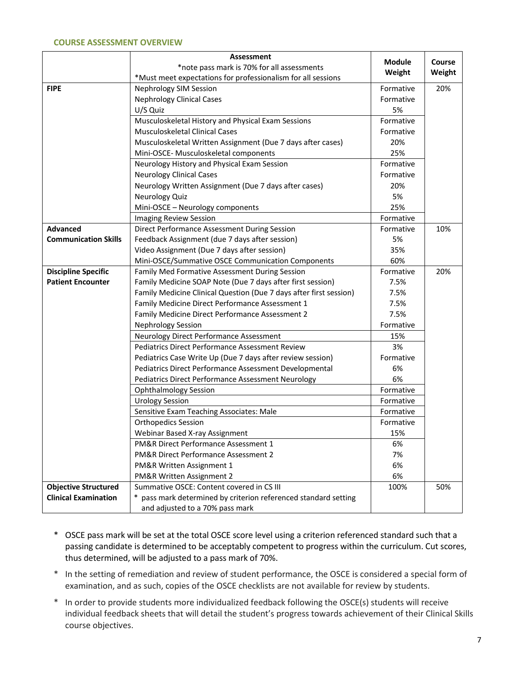#### **COURSE ASSESSMENT OVERVIEW**

|                             | <b>Assessment</b>                                                  |                         | Course<br>Weight |
|-----------------------------|--------------------------------------------------------------------|-------------------------|------------------|
|                             | *note pass mark is 70% for all assessments                         | <b>Module</b><br>Weight |                  |
|                             | *Must meet expectations for professionalism for all sessions       |                         |                  |
| <b>FIPE</b>                 | Nephrology SIM Session                                             | Formative               | 20%              |
|                             | <b>Nephrology Clinical Cases</b>                                   | Formative               |                  |
|                             | U/S Quiz                                                           | 5%                      |                  |
|                             | Musculoskeletal History and Physical Exam Sessions                 | Formative               |                  |
|                             | Musculoskeletal Clinical Cases                                     | Formative               |                  |
|                             | Musculoskeletal Written Assignment (Due 7 days after cases)        | 20%                     |                  |
|                             | Mini-OSCE- Musculoskeletal components                              | 25%                     |                  |
|                             | Neurology History and Physical Exam Session                        | Formative               |                  |
|                             | <b>Neurology Clinical Cases</b>                                    | Formative               |                  |
|                             | Neurology Written Assignment (Due 7 days after cases)              | 20%                     |                  |
|                             | Neurology Quiz                                                     | 5%                      |                  |
|                             | Mini-OSCE - Neurology components                                   | 25%                     |                  |
|                             | Imaging Review Session                                             | Formative               |                  |
| <b>Advanced</b>             | Direct Performance Assessment During Session                       | Formative               | 10%              |
| <b>Communication Skills</b> | Feedback Assignment (due 7 days after session)                     | 5%                      |                  |
|                             | Video Assignment (Due 7 days after session)                        | 35%                     |                  |
|                             | Mini-OSCE/Summative OSCE Communication Components                  | 60%                     |                  |
| <b>Discipline Specific</b>  | Family Med Formative Assessment During Session                     | Formative               | 20%              |
| <b>Patient Encounter</b>    | Family Medicine SOAP Note (Due 7 days after first session)         | 7.5%                    |                  |
|                             | Family Medicine Clinical Question (Due 7 days after first session) | 7.5%                    |                  |
|                             | Family Medicine Direct Performance Assessment 1                    | 7.5%                    |                  |
|                             | Family Medicine Direct Performance Assessment 2                    | 7.5%                    |                  |
|                             | <b>Nephrology Session</b>                                          | Formative               |                  |
|                             | Neurology Direct Performance Assessment                            | 15%                     |                  |
|                             | <b>Pediatrics Direct Performance Assessment Review</b>             | 3%                      |                  |
|                             | Pediatrics Case Write Up (Due 7 days after review session)         | Formative               |                  |
|                             | Pediatrics Direct Performance Assessment Developmental             | 6%                      |                  |
|                             | Pediatrics Direct Performance Assessment Neurology                 | 6%                      |                  |
|                             | <b>Ophthalmology Session</b>                                       | Formative               |                  |
|                             | <b>Urology Session</b>                                             | Formative               |                  |
|                             | Sensitive Exam Teaching Associates: Male                           | Formative               |                  |
|                             | <b>Orthopedics Session</b>                                         | Formative               |                  |
|                             | Webinar Based X-ray Assignment                                     | 15%                     |                  |
|                             | PM&R Direct Performance Assessment 1                               | 6%                      |                  |
|                             | PM&R Direct Performance Assessment 2                               | 7%                      |                  |
|                             | PM&R Written Assignment 1                                          | 6%                      |                  |
|                             | PM&R Written Assignment 2                                          | 6%                      |                  |
| <b>Objective Structured</b> | Summative OSCE: Content covered in CS III                          | 100%                    | 50%              |
| <b>Clinical Examination</b> | * pass mark determined by criterion referenced standard setting    |                         |                  |
|                             | and adjusted to a 70% pass mark                                    |                         |                  |

- \* OSCE pass mark will be set at the total OSCE score level using a criterion referenced standard such that a passing candidate is determined to be acceptably competent to progress within the curriculum. Cut scores, thus determined, will be adjusted to a pass mark of 70%.
- \* In the setting of remediation and review of student performance, the OSCE is considered a special form of examination, and as such, copies of the OSCE checklists are not available for review by students.
- \* In order to provide students more individualized feedback following the OSCE(s) students will receive individual feedback sheets that will detail the student's progress towards achievement of their Clinical Skills course objectives.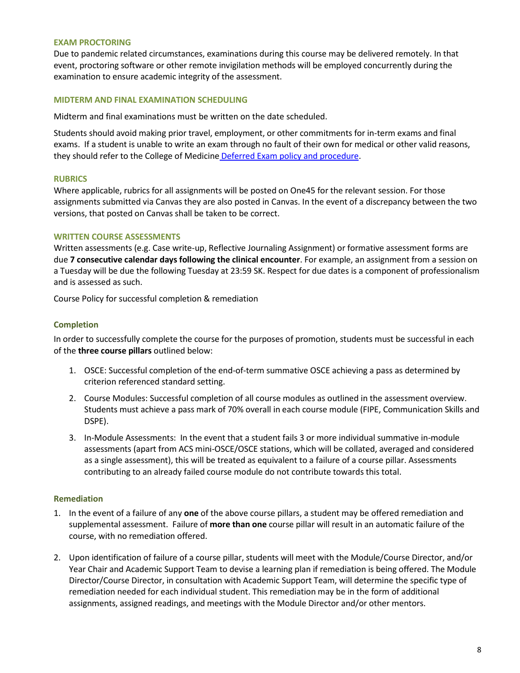## **EXAM PROCTORING**

Due to pandemic related circumstances, examinations during this course may be delivered remotely. In that event, proctoring software or other remote invigilation methods will be employed concurrently during the examination to ensure academic integrity of the assessment.

#### **MIDTERM AND FINAL EXAMINATION SCHEDULING**

Midterm and final examinations must be written on the date scheduled.

Students should avoid making prior travel, employment, or other commitments for in-term exams and final exams. If a student is unable to write an exam through no fault of their own for medical or other valid reasons, they should refer to the College of Medicine [Deferred Exam policy and procedure.](https://medicine.usask.ca/policies/deferred-exams.php)

## **RUBRICS**

Where applicable, rubrics for all assignments will be posted on One45 for the relevant session. For those assignments submitted via Canvas they are also posted in Canvas. In the event of a discrepancy between the two versions, that posted on Canvas shall be taken to be correct.

## **WRITTEN COURSE ASSESSMENTS**

Written assessments (e.g. Case write-up, Reflective Journaling Assignment) or formative assessment forms are due **7 consecutive calendar days following the clinical encounter**. For example, an assignment from a session on a Tuesday will be due the following Tuesday at 23:59 SK. Respect for due dates is a component of professionalism and is assessed as such.

Course Policy for successful completion & remediation

## **Completion**

In order to successfully complete the course for the purposes of promotion, students must be successful in each of the **three course pillars** outlined below:

- 1. OSCE: Successful completion of the end-of-term summative OSCE achieving a pass as determined by criterion referenced standard setting.
- 2. Course Modules: Successful completion of all course modules as outlined in the assessment overview. Students must achieve a pass mark of 70% overall in each course module (FIPE, Communication Skills and DSPE).
- 3. In-Module Assessments: In the event that a student fails 3 or more individual summative in-module assessments (apart from ACS mini-OSCE/OSCE stations, which will be collated, averaged and considered as a single assessment), this will be treated as equivalent to a failure of a course pillar. Assessments contributing to an already failed course module do not contribute towards this total.

## **Remediation**

- 1. In the event of a failure of any **one** of the above course pillars, a student may be offered remediation and supplemental assessment. Failure of **more than one** course pillar will result in an automatic failure of the course, with no remediation offered.
- 2. Upon identification of failure of a course pillar, students will meet with the Module/Course Director, and/or Year Chair and Academic Support Team to devise a learning plan if remediation is being offered. The Module Director/Course Director, in consultation with Academic Support Team, will determine the specific type of remediation needed for each individual student. This remediation may be in the form of additional assignments, assigned readings, and meetings with the Module Director and/or other mentors.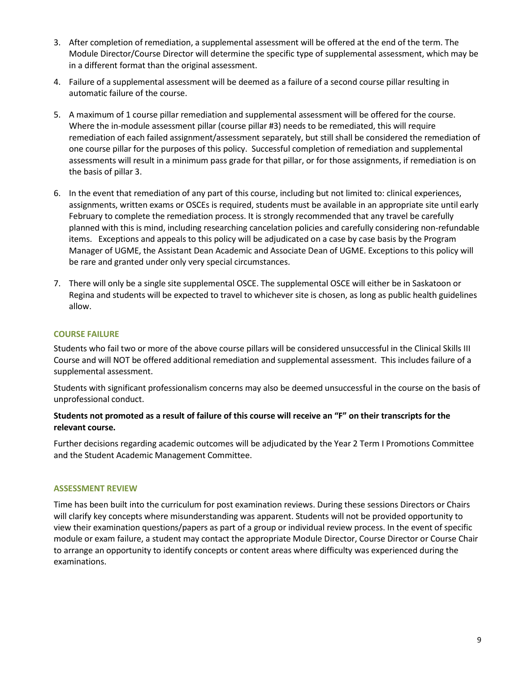- 3. After completion of remediation, a supplemental assessment will be offered at the end of the term. The Module Director/Course Director will determine the specific type of supplemental assessment, which may be in a different format than the original assessment.
- 4. Failure of a supplemental assessment will be deemed as a failure of a second course pillar resulting in automatic failure of the course.
- 5. A maximum of 1 course pillar remediation and supplemental assessment will be offered for the course. Where the in-module assessment pillar (course pillar #3) needs to be remediated, this will require remediation of each failed assignment/assessment separately, but still shall be considered the remediation of one course pillar for the purposes of this policy. Successful completion of remediation and supplemental assessments will result in a minimum pass grade for that pillar, or for those assignments, if remediation is on the basis of pillar 3.
- 6. In the event that remediation of any part of this course, including but not limited to: clinical experiences, assignments, written exams or OSCEs is required, students must be available in an appropriate site until early February to complete the remediation process. It is strongly recommended that any travel be carefully planned with this is mind, including researching cancelation policies and carefully considering non-refundable items. Exceptions and appeals to this policy will be adjudicated on a case by case basis by the Program Manager of UGME, the Assistant Dean Academic and Associate Dean of UGME. Exceptions to this policy will be rare and granted under only very special circumstances.
- 7. There will only be a single site supplemental OSCE. The supplemental OSCE will either be in Saskatoon or Regina and students will be expected to travel to whichever site is chosen, as long as public health guidelines allow.

## **COURSE FAILURE**

Students who fail two or more of the above course pillars will be considered unsuccessful in the Clinical Skills III Course and will NOT be offered additional remediation and supplemental assessment. This includes failure of a supplemental assessment.

Students with significant professionalism concerns may also be deemed unsuccessful in the course on the basis of unprofessional conduct.

# **Students not promoted as a result of failure of this course will receive an "F" on their transcripts for the relevant course.**

Further decisions regarding academic outcomes will be adjudicated by the Year 2 Term I Promotions Committee and the Student Academic Management Committee.

## **ASSESSMENT REVIEW**

Time has been built into the curriculum for post examination reviews. During these sessions Directors or Chairs will clarify key concepts where misunderstanding was apparent. Students will not be provided opportunity to view their examination questions/papers as part of a group or individual review process. In the event of specific module or exam failure, a student may contact the appropriate Module Director, Course Director or Course Chair to arrange an opportunity to identify concepts or content areas where difficulty was experienced during the examinations.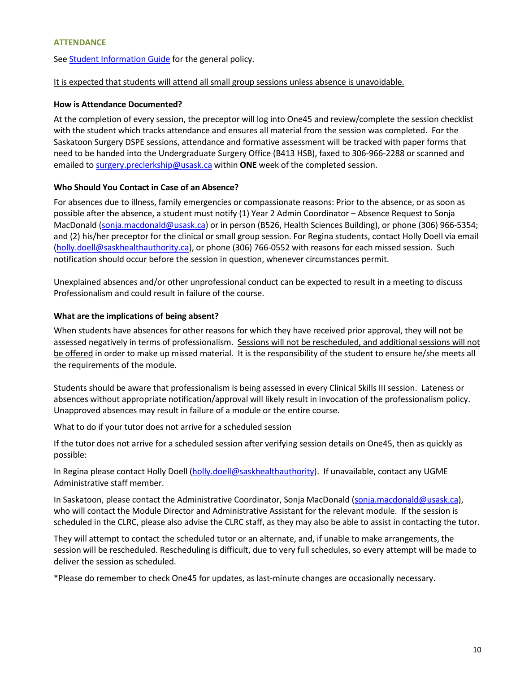## **ATTENDANCE**

Se[e Student Information Guide f](http://medicine.usask.ca/students/undergraduate/curriculum-schedules-objectives.php#Aboriginalhealthinthecurriculum)or the general policy.

# It is expected that students will attend all small group sessions unless absence is unavoidable.

## **How is Attendance Documented?**

At the completion of every session, the preceptor will log into One45 and review/complete the session checklist with the student which tracks attendance and ensures all material from the session was completed. For the Saskatoon Surgery DSPE sessions, attendance and formative assessment will be tracked with paper forms that need to be handed into the Undergraduate Surgery Office (B413 HSB), faxed to 306-966-2288 or scanned and emailed to [surgery.preclerkship@usask.ca](mailto:renee.ryan@usask.ca) within **ONE** week of the completed session.

# **Who Should You Contact in Case of an Absence?**

For absences due to illness, family emergencies or compassionate reasons: Prior to the absence, or as soon as possible after the absence, a student must notify (1) Year 2 Admin Coordinator – Absence Request to Sonja MacDonald [\(sonja.macdonald@usask.ca\)](mailto:megan.jenkins@usask.ca) or in person (B526, Health Sciences Building), or phone (306) 966-5354; and (2) his/her preceptor for the clinical or small group session. For Regina students, contact Holly Doell via email [\(holly.doell@saskhealthauthority.ca\)](mailto:holly.doell@saskhealthauthority.ca), or phone (306) 766-0552 with reasons for each missed session. Such notification should occur before the session in question, whenever circumstances permit.

Unexplained absences and/or other unprofessional conduct can be expected to result in a meeting to discuss Professionalism and could result in failure of the course.

# **What are the implications of being absent?**

When students have absences for other reasons for which they have received prior approval, they will not be assessed negatively in terms of professionalism. Sessions will not be rescheduled, and additional sessions will not be offered in order to make up missed material. It is the responsibility of the student to ensure he/she meets all the requirements of the module.

Students should be aware that professionalism is being assessed in every Clinical Skills III session. Lateness or absences without appropriate notification/approval will likely result in invocation of the professionalism policy. Unapproved absences may result in failure of a module or the entire course.

What to do if your tutor does not arrive for a scheduled session

If the tutor does not arrive for a scheduled session after verifying session details on One45, then as quickly as possible:

In Regina please contact Holly Doell (holly.doell@saskhealthauthority). If unavailable, contact any UGME Administrative staff member.

In Saskatoon, please contact the Administrative Coordinator, Sonja MacDonald [\(sonja.macdonald@usask.ca\)](mailto:sonja.macdonald@usask.ca), who will contact the Module Director and Administrative Assistant for the relevant module. If the session is scheduled in the CLRC, please also advise the CLRC staff, as they may also be able to assist in contacting the tutor.

They will attempt to contact the scheduled tutor or an alternate, and, if unable to make arrangements, the session will be rescheduled. Rescheduling is difficult, due to very full schedules, so every attempt will be made to deliver the session as scheduled.

\*Please do remember to check One45 for updates, as last-minute changes are occasionally necessary.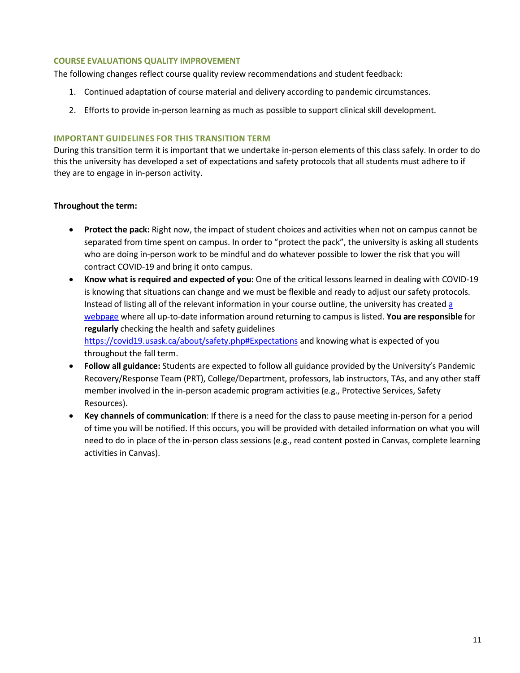## **COURSE EVALUATIONS QUALITY IMPROVEMENT**

The following changes reflect course quality review recommendations and student feedback:

- 1. Continued adaptation of course material and delivery according to pandemic circumstances.
- 2. Efforts to provide in-person learning as much as possible to support clinical skill development.

## **IMPORTANT GUIDELINES FOR THIS TRANSITION TERM**

During this transition term it is important that we undertake in-person elements of this class safely. In order to do this the university has developed a set of expectations and safety protocols that all students must adhere to if they are to engage in in-person activity.

## **Throughout the term:**

- **Protect the pack:** Right now, the impact of student choices and activities when not on campus cannot be separated from time spent on campus. In order to "protect the pack", the university is asking all students who are doing in-person work to be mindful and do whatever possible to lower the risk that you will contract COVID-19 and bring it onto campus.
- **Know what is required and expected of you:** One of the critical lessons learned in dealing with COVID-19 is knowing that situations can change and we must be flexible and ready to adjust our safety protocols. Instead of listing all of the relevant information in your course outline, the university has created [a](https://covid19.usask.ca/students.php#Oncampusessentials)  [webpage](https://covid19.usask.ca/students.php#Oncampusessentials) where all up-to-date information around returning to campus is listed. **You are responsible** for **regularly** checking the health and safety guidelines

<https://covid19.usask.ca/about/safety.php#Expectations>and knowing what is expected of you throughout the fall term.

- **Follow all guidance:** Students are expected to follow all guidance provided by the University's Pandemic Recovery/Response Team (PRT), College/Department, professors, lab instructors, TAs, and any other staff member involved in the in-person academic program activities (e.g., Protective Services, Safety Resources).
- **Key channels of communication**: If there is a need for the class to pause meeting in-person for a period of time you will be notified. If this occurs, you will be provided with detailed information on what you will need to do in place of the in-person class sessions (e.g., read content posted in Canvas, complete learning activities in Canvas).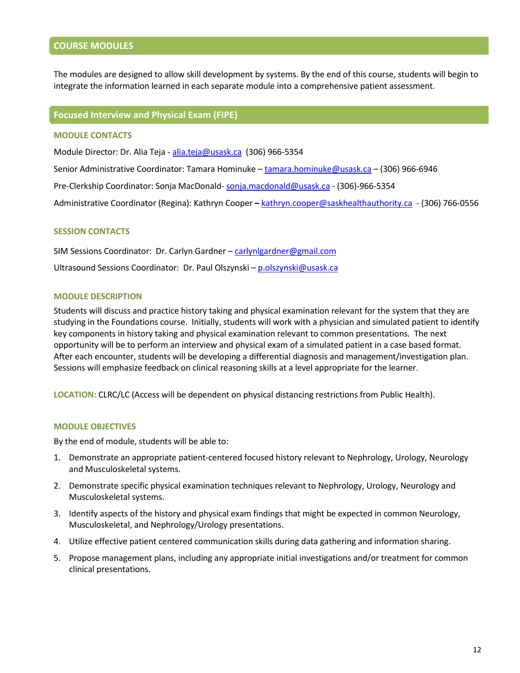# **COURSE MODULES**

The modules are designed to allow skill development by systems. By the end of this course, students will begin to integrate the information learned in each separate module into a comprehensive patient assessment.

#### **Focused Interview and Physical Exam (FIPE)**

## **MODULE CONTACTS**

Module Director: Dr. Alia Teja - [alia.teja@usask.ca](mailto:alia.teja@usask.ca) (306) 966-5354

Senior Administrative Coordinator: Tamara Hominuke [– tamara.hominuke@usask.ca –](mailto:tamara.hominuke@usask.ca) (306) 966-6946

Pre-Clerkship Coordinator: Sonja MacDonald[- sonja.macdonald@usask.ca](mailto:sonja.macdonald@usask.ca) - (306)-966-5354

Administrative Coordinator (Regina): Kathryn Cooper **–** [kathryn.cooper@saskhealthauthority.ca](mailto:cassandra.eskra@saskhealthauthority.ca) - (306) 766-0556

#### **SESSION CONTACTS**

SIM Sessions Coordinator: Dr. Carlyn Gardner – [carlynlgardner@gmail.com](mailto:carlynlgardner@gmail.com) Ultrasound Sessions Coordinator: Dr. Paul Olszynski – [p.olszynski@usask.ca](mailto:p.olszynski@usask.ca)

#### **MODULE DESCRIPTION**

Students will discuss and practice history taking and physical examination relevant for the system that they are studying in the Foundations course. Initially, students will work with a physician and simulated patient to identify key components in history taking and physical examination relevant to common presentations. The next opportunity will be to perform an interview and physical exam of a simulated patient in a case based format. After each encounter, students will be developing a differential diagnosis and management/investigation plan. Sessions will emphasize feedback on clinical reasoning skills at a level appropriate for the learner.

**LOCATION:** CLRC/LC (Access will be dependent on physical distancing restrictions from Public Health).

#### **MODULE OBJECTIVES**

By the end of module, students will be able to:

- 1. Demonstrate an appropriate patient-centered focused history relevant to Nephrology, Urology, Neurology and Musculoskeletal systems.
- 2. Demonstrate specific physical examination techniques relevant to Nephrology, Urology, Neurology and Musculoskeletal systems.
- 3. Identify aspects of the history and physical exam findings that might be expected in common Neurology, Musculoskeletal, and Nephrology/Urology presentations.
- 4. Utilize effective patient centered communication skills during data gathering and information sharing.
- 5. Propose management plans, including any appropriate initial investigations and/or treatment for common clinical presentations.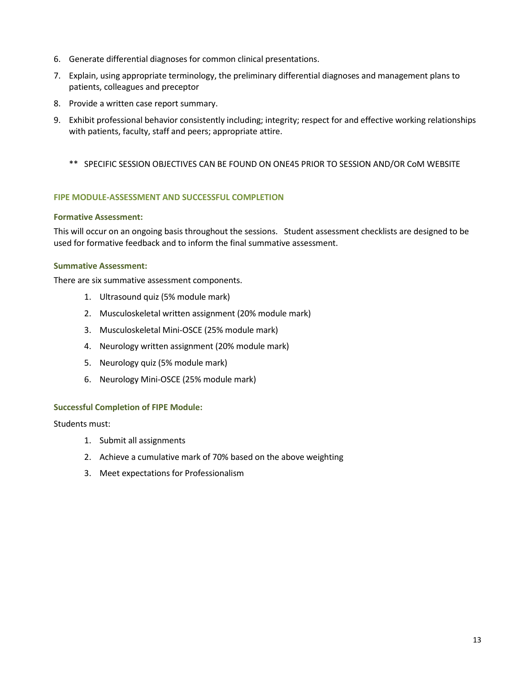- 6. Generate differential diagnoses for common clinical presentations.
- 7. Explain, using appropriate terminology, the preliminary differential diagnoses and management plans to patients, colleagues and preceptor
- 8. Provide a written case report summary.
- 9. Exhibit professional behavior consistently including; integrity; respect for and effective working relationships with patients, faculty, staff and peers; appropriate attire.
	- \*\* SPECIFIC SESSION OBJECTIVES CAN BE FOUND ON ONE45 PRIOR TO SESSION AND/OR CoM WEBSITE

## **FIPE MODULE-ASSESSMENT AND SUCCESSFUL COMPLETION**

## **Formative Assessment:**

This will occur on an ongoing basis throughout the sessions. Student assessment checklists are designed to be used for formative feedback and to inform the final summative assessment.

## **Summative Assessment:**

There are six summative assessment components.

- 1. Ultrasound quiz (5% module mark)
- 2. Musculoskeletal written assignment (20% module mark)
- 3. Musculoskeletal Mini-OSCE (25% module mark)
- 4. Neurology written assignment (20% module mark)
- 5. Neurology quiz (5% module mark)
- 6. Neurology Mini-OSCE (25% module mark)

## **Successful Completion of FIPE Module:**

Students must:

- 1. Submit all assignments
- 2. Achieve a cumulative mark of 70% based on the above weighting
- 3. Meet expectations for Professionalism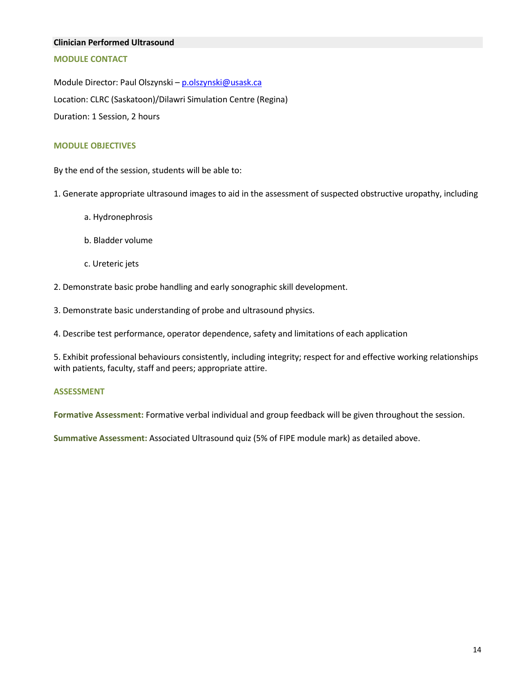#### **Clinician Performed Ultrasound**

## **MODULE CONTACT**

Module Director: Paul Olszynski – p.olszynski@usask.ca Location: CLRC (Saskatoon)/Dilawri Simulation Centre (Regina) Duration: 1 Session, 2 hours

#### **MODULE OBJECTIVES**

By the end of the session, students will be able to:

- 1. Generate appropriate ultrasound images to aid in the assessment of suspected obstructive uropathy, including
	- a. Hydronephrosis
	- b. Bladder volume
	- c. Ureteric jets
- 2. Demonstrate basic probe handling and early sonographic skill development.
- 3. Demonstrate basic understanding of probe and ultrasound physics.

4. Describe test performance, operator dependence, safety and limitations of each application

5. Exhibit professional behaviours consistently, including integrity; respect for and effective working relationships with patients, faculty, staff and peers; appropriate attire.

#### **ASSESSMENT**

**Formative Assessment:** Formative verbal individual and group feedback will be given throughout the session.

**Summative Assessment:** Associated Ultrasound quiz (5% of FIPE module mark) as detailed above.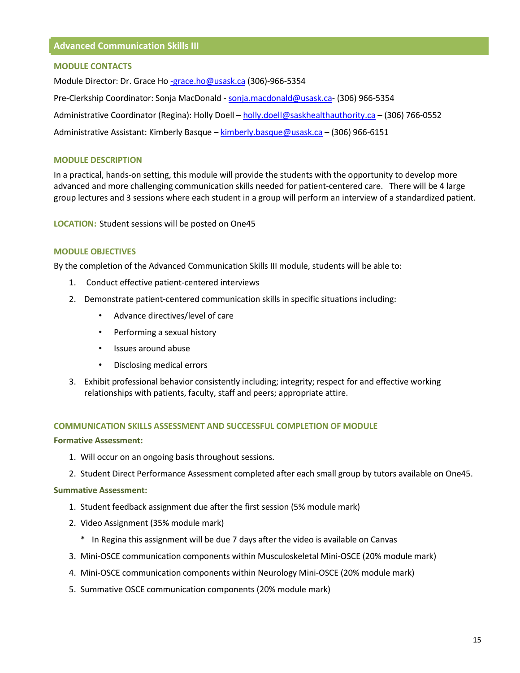#### **MODULE CONTACTS**

Module Director: Dr. Grace H[o -grace.ho@usask.ca](mailto:-grace.ho@usask.ca) (306)-966-5354 Pre-Clerkship Coordinator: Sonja MacDonald - [sonja.macdonald@usask.ca-](mailto:megan.jenkins@usask.ca) (306) 966-5354 Administrative Coordinator (Regina): Holly Doell – [holly.doell@saskhealthauthority.ca](mailto:holly.doell@saskhealthauthority.ca) – (306) 766-0552 Administrative Assistant: Kimberly Basque – [kimberly.basque@usask.ca](mailto:kimberly.basque@usask.ca) – (306) 966-6151

## **MODULE DESCRIPTION**

In a practical, hands-on setting, this module will provide the students with the opportunity to develop more advanced and more challenging communication skills needed for patient-centered care. There will be 4 large group lectures and 3 sessions where each student in a group will perform an interview of a standardized patient.

**LOCATION:** Student sessions will be posted on One45

## **MODULE OBJECTIVES**

By the completion of the Advanced Communication Skills III module, students will be able to:

- 1. Conduct effective patient-centered interviews
- 2. Demonstrate patient-centered communication skills in specific situations including:
	- Advance directives/level of care
	- Performing a sexual history
	- Issues around abuse
	- Disclosing medical errors
- 3. Exhibit professional behavior consistently including; integrity; respect for and effective working relationships with patients, faculty, staff and peers; appropriate attire.

#### **COMMUNICATION SKILLS ASSESSMENT AND SUCCESSFUL COMPLETION OF MODULE**

#### **Formative Assessment:**

- 1. Will occur on an ongoing basis throughout sessions.
- 2. Student Direct Performance Assessment completed after each small group by tutors available on One45.

## **Summative Assessment:**

- 1. Student feedback assignment due after the first session (5% module mark)
- 2. Video Assignment (35% module mark)
	- \* In Regina this assignment will be due 7 days after the video is available on Canvas
- 3. Mini-OSCE communication components within Musculoskeletal Mini-OSCE (20% module mark)
- 4. Mini-OSCE communication components within Neurology Mini-OSCE (20% module mark)
- 5. Summative OSCE communication components (20% module mark)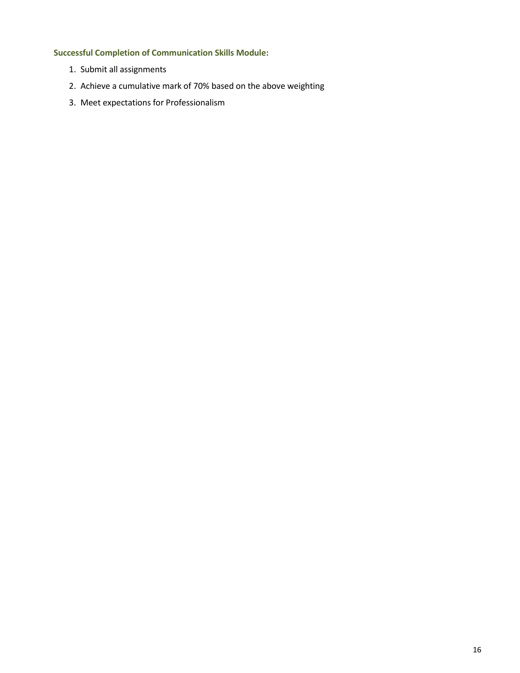# **Successful Completion of Communication Skills Module:**

- 1. Submit all assignments
- 2. Achieve a cumulative mark of 70% based on the above weighting
- 3. Meet expectations for Professionalism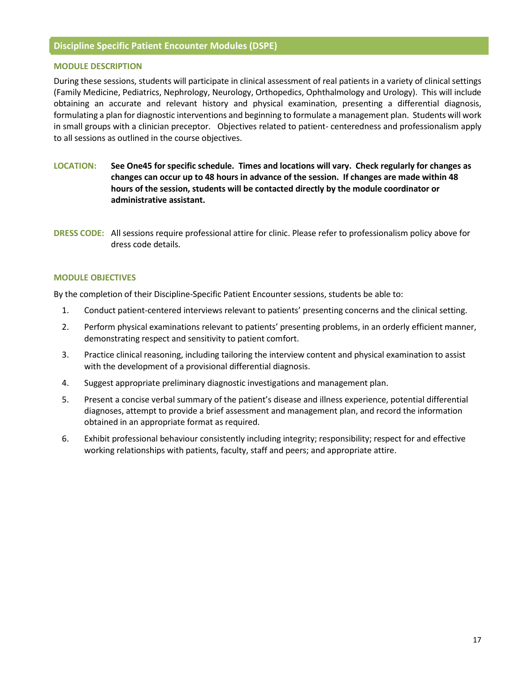## **Discipline Specific Patient Encounter Modules (DSPE)**

#### **MODULE DESCRIPTION**

During these sessions, students will participate in clinical assessment of real patients in a variety of clinical settings (Family Medicine, Pediatrics, Nephrology, Neurology, Orthopedics, Ophthalmology and Urology). This will include obtaining an accurate and relevant history and physical examination, presenting a differential diagnosis, formulating a plan for diagnostic interventions and beginning to formulate a management plan. Students will work in small groups with a clinician preceptor. Objectives related to patient- centeredness and professionalism apply to all sessions as outlined in the course objectives.

- **LOCATION: See One45 for specific schedule. Times and locations will vary. Check regularly for changes as changes can occur up to 48 hours in advance of the session. If changes are made within 48 hours of the session, students will be contacted directly by the module coordinator or administrative assistant.**
- **DRESS CODE:** All sessions require professional attire for clinic. Please refer to professionalism policy above for dress code details.

#### **MODULE OBJECTIVES**

By the completion of their Discipline-Specific Patient Encounter sessions, students be able to:

- 1. Conduct patient-centered interviews relevant to patients' presenting concerns and the clinical setting.
- 2. Perform physical examinations relevant to patients' presenting problems, in an orderly efficient manner, demonstrating respect and sensitivity to patient comfort.
- 3. Practice clinical reasoning, including tailoring the interview content and physical examination to assist with the development of a provisional differential diagnosis.
- 4. Suggest appropriate preliminary diagnostic investigations and management plan.
- 5. Present a concise verbal summary of the patient's disease and illness experience, potential differential diagnoses, attempt to provide a brief assessment and management plan, and record the information obtained in an appropriate format as required.
- 6. Exhibit professional behaviour consistently including integrity; responsibility; respect for and effective working relationships with patients, faculty, staff and peers; and appropriate attire.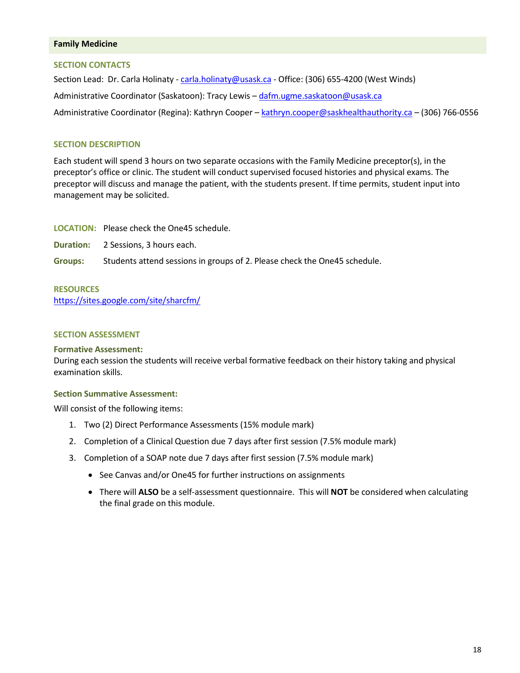#### **Family Medicine**

#### **SECTION CONTACTS**

Section Lead: Dr. Carla Holinaty - [carla.holinaty@usask.ca](mailto:carla.holinaty@usask.ca) - Office: (306) 655-4200 (West Winds) Administrative Coordinator (Saskatoon): Tracy Lewis – [dafm.ugme.saskatoon@usask.ca](mailto:dafm.ugme.saskatoon@usask.ca)  Administrative Coordinator (Regina): Kathryn Cooper – [kathryn.cooper@saskhealthauthority.ca](mailto:cassandra.eskra@saskhealthauthority.ca) – (306) 766-0556

## **SECTION DESCRIPTION**

Each student will spend 3 hours on two separate occasions with the Family Medicine preceptor(s), in the preceptor's office or clinic. The student will conduct supervised focused histories and physical exams. The preceptor will discuss and manage the patient, with the students present. If time permits, student input into management may be solicited.

**LOCATION:** Please check the One45 schedule.

**Duration:** 2 Sessions, 3 hours each.

**Groups:** Students attend sessions in groups of 2. Please check the One45 schedule.

#### **RESOURCES**

<https://sites.google.com/site/sharcfm/>

#### **SECTION ASSESSMENT**

#### **Formative Assessment:**

During each session the students will receive verbal formative feedback on their history taking and physical examination skills.

## **Section Summative Assessment:**

Will consist of the following items:

- 1. Two (2) Direct Performance Assessments (15% module mark)
- 2. Completion of a Clinical Question due 7 days after first session (7.5% module mark)
- 3. Completion of a SOAP note due 7 days after first session (7.5% module mark)
	- See Canvas and/or One45 for further instructions on assignments
	- There will **ALSO** be a self-assessment questionnaire. This will **NOT** be considered when calculating the final grade on this module.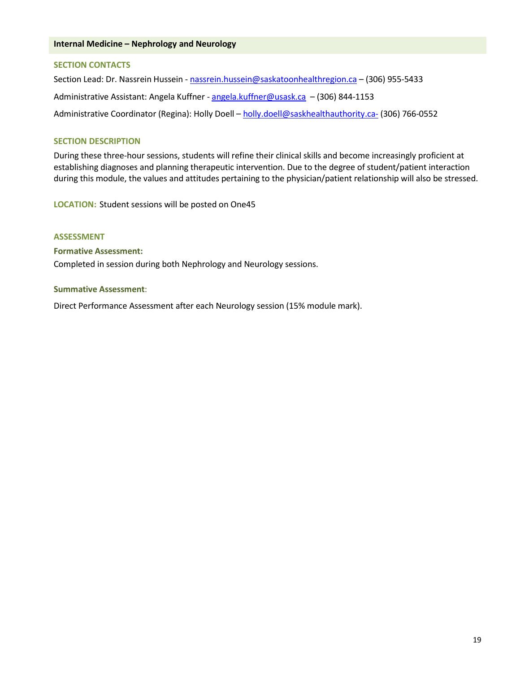#### **Internal Medicine – Nephrology and Neurology**

#### **SECTION CONTACTS**

Section Lead: Dr. Nassrein Hussein - nassrein.hussein@saskatoonhealthregion.ca - (306) 955-5433 Administrative Assistant: Angela Kuffner [- angela.kuffner@usask.ca](mailto:angela.kuffner@usask.ca) – (306) 844-1153 Administrative Coordinator (Regina): Holly Doell – [holly.doell@saskhealthauthority.ca-](mailto:holly.doell@saskhealthauthority.ca-) (306) 766-0552

#### **SECTION DESCRIPTION**

During these three-hour sessions, students will refine their clinical skills and become increasingly proficient at establishing diagnoses and planning therapeutic intervention. Due to the degree of student/patient interaction during this module, the values and attitudes pertaining to the physician/patient relationship will also be stressed.

**LOCATION:** Student sessions will be posted on One45

#### **ASSESSMENT**

#### **Formative Assessment:**

Completed in session during both Nephrology and Neurology sessions.

#### **Summative Assessment**:

Direct Performance Assessment after each Neurology session (15% module mark).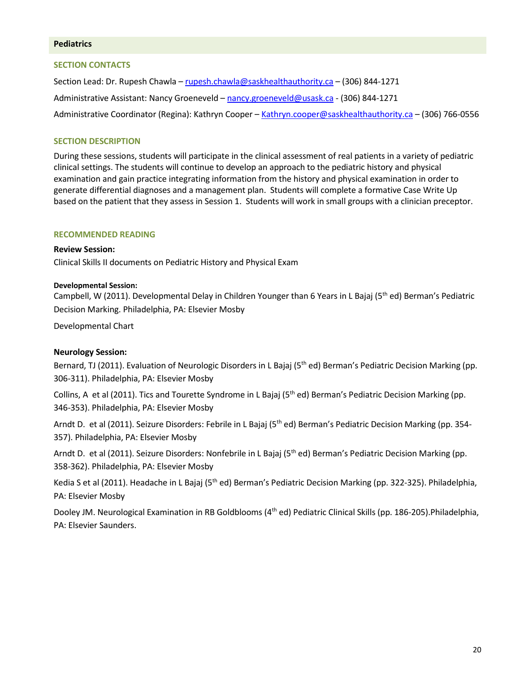## **Pediatrics**

#### **SECTION CONTACTS**

Section Lead: Dr. Rupesh Chawla – [rupesh.chawla@saskhealthauthority.ca](mailto:rupesh.chawla@saskhealthauthority.ca) – (306) 844-1271 Administrative Assistant: Nancy Groeneveld [– nancy.groeneveld@usask.ca](mailto:nancy.groeneveld@usask.ca) - (306) 844-1271 Administrative Coordinator (Regina): Kathryn Cooper – Kathryn.coope[r@saskhealthauthority.ca –](mailto:alexis.robb@saskhealthauthority.ca) (306) 766-0556

## **SECTION DESCRIPTION**

During these sessions, students will participate in the clinical assessment of real patients in a variety of pediatric clinical settings. The students will continue to develop an approach to the pediatric history and physical examination and gain practice integrating information from the history and physical examination in order to generate differential diagnoses and a management plan. Students will complete a formative Case Write Up based on the patient that they assess in Session 1. Students will work in small groups with a clinician preceptor.

#### **RECOMMENDED READING**

**Review Session:**  Clinical Skills II documents on Pediatric History and Physical Exam

#### **Developmental Session:**

Campbell, W (2011). Developmental Delay in Children Younger than 6 Years in L Bajaj (5<sup>th</sup> ed) Berman's Pediatric Decision Marking. Philadelphia, PA: Elsevier Mosby

Developmental Chart

#### **Neurology Session:**

Bernard, TJ (2011). Evaluation of Neurologic Disorders in L Bajaj (5<sup>th</sup> ed) Berman's Pediatric Decision Marking (pp. 306-311). Philadelphia, PA: Elsevier Mosby

Collins, A et al (2011). Tics and Tourette Syndrome in L Bajaj (5<sup>th</sup> ed) Berman's Pediatric Decision Marking (pp. 346-353). Philadelphia, PA: Elsevier Mosby

Arndt D. et al (2011). Seizure Disorders: Febrile in L Bajaj (5<sup>th</sup> ed) Berman's Pediatric Decision Marking (pp. 354-357). Philadelphia, PA: Elsevier Mosby

Arndt D. et al (2011). Seizure Disorders: Nonfebrile in L Bajaj (5<sup>th</sup> ed) Berman's Pediatric Decision Marking (pp. 358-362). Philadelphia, PA: Elsevier Mosby

Kedia S et al (2011). Headache in L Bajaj (5<sup>th</sup> ed) Berman's Pediatric Decision Marking (pp. 322-325). Philadelphia, PA: Elsevier Mosby

Dooley JM. Neurological Examination in RB Goldblooms (4<sup>th</sup> ed) Pediatric Clinical Skills (pp. 186-205).Philadelphia, PA: Elsevier Saunders.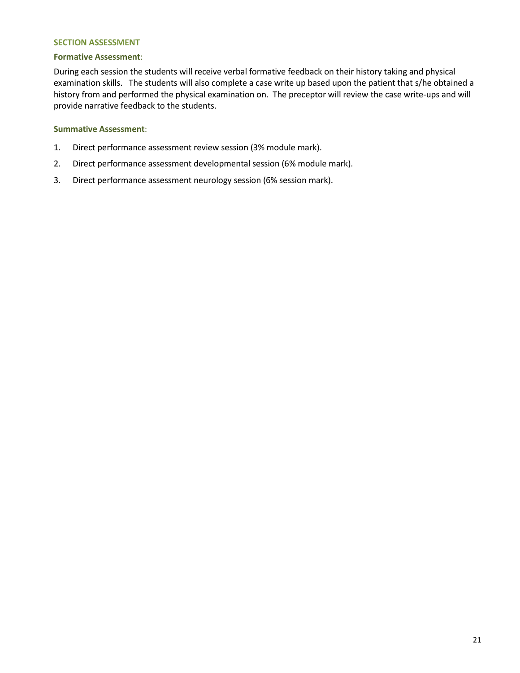## **SECTION ASSESSMENT**

#### **Formative Assessment**:

During each session the students will receive verbal formative feedback on their history taking and physical examination skills. The students will also complete a case write up based upon the patient that s/he obtained a history from and performed the physical examination on. The preceptor will review the case write-ups and will provide narrative feedback to the students.

#### **Summative Assessment**:

- 1. Direct performance assessment review session (3% module mark).
- 2. Direct performance assessment developmental session (6% module mark).
- 3. Direct performance assessment neurology session (6% session mark).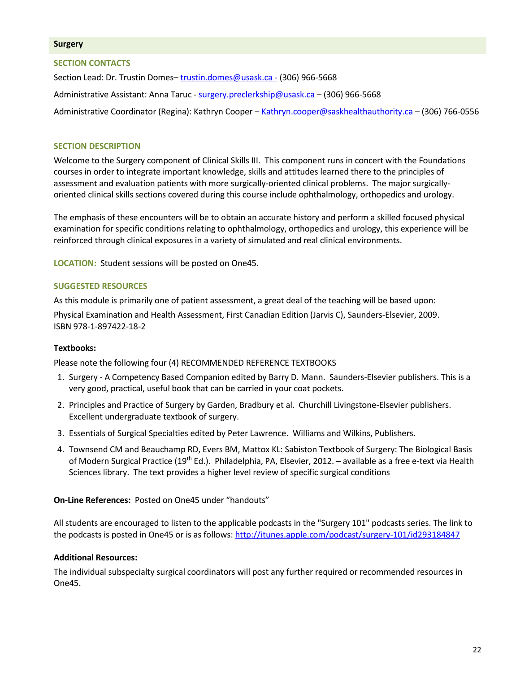#### **Surgery**

#### **SECTION CONTACTS**

Section Lead: Dr. Trustin Domes[– trustin.domes@usask.ca -](mailto:trustin.domes@usask.ca%20-) (306) 966-5668

Administrative Assistant: Anna Taruc - [surgery.preclerkship@usask.ca](mailto:surgery.preclerkship@usask.ca) - (306) 966-5668

Administrative Coordinator (Regina): Kathryn Cooper – Kathryn.coope[r@saskhealthauthority.ca –](mailto:alexis.robb@saskhealthauthority.ca) (306) 766-0556

#### **SECTION DESCRIPTION**

Welcome to the Surgery component of Clinical Skills III. This component runs in concert with the Foundations courses in order to integrate important knowledge, skills and attitudes learned there to the principles of assessment and evaluation patients with more surgically-oriented clinical problems. The major surgicallyoriented clinical skills sections covered during this course include ophthalmology, orthopedics and urology.

The emphasis of these encounters will be to obtain an accurate history and perform a skilled focused physical examination for specific conditions relating to ophthalmology, orthopedics and urology, this experience will be reinforced through clinical exposures in a variety of simulated and real clinical environments.

**LOCATION:** Student sessions will be posted on One45.

## **SUGGESTED RESOURCES**

As this module is primarily one of patient assessment, a great deal of the teaching will be based upon:

Physical Examination and Health Assessment, First Canadian Edition (Jarvis C), Saunders-Elsevier, 2009. ISBN 978-1-897422-18-2

#### **Textbooks:**

Please note the following four (4) RECOMMENDED REFERENCE TEXTBOOKS

- 1. Surgery A Competency Based Companion edited by Barry D. Mann. Saunders-Elsevier publishers. This is a very good, practical, useful book that can be carried in your coat pockets.
- 2. Principles and Practice of Surgery by Garden, Bradbury et al. Churchill Livingstone-Elsevier publishers. Excellent undergraduate textbook of surgery.
- 3. Essentials of Surgical Specialties edited by Peter Lawrence. Williams and Wilkins, Publishers.
- 4. Townsend CM and Beauchamp RD, Evers BM, Mattox KL: Sabiston Textbook of Surgery: The Biological Basis of Modern Surgical Practice (19<sup>th</sup> Ed.). Philadelphia, PA, Elsevier, 2012. – available as a free e-text via Health Sciences library. The text provides a higher level review of specific surgical conditions

#### **On-Line References:** Posted on One45 under "handouts"

All students are encouraged to listen to the applicable podcasts in the "Surgery 101" podcasts series. The link to the podcasts is posted in One45 or is as follows:<http://itunes.apple.com/podcast/surgery-101/id293184847>

#### **Additional Resources:**

The individual subspecialty surgical coordinators will post any further required or recommended resources in One45.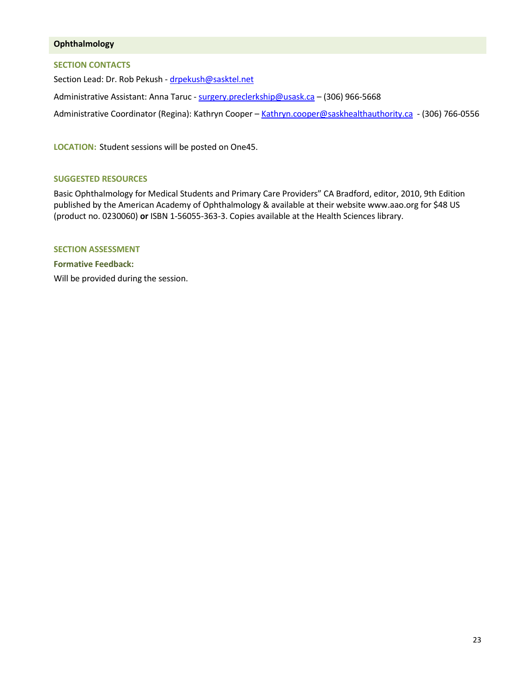## **Ophthalmology**

## **SECTION CONTACTS**

Section Lead: Dr. Rob Pekush - [drpekush@sasktel.net](mailto:drpekush@sasktel.net) Administrative Assistant: Anna Taruc - [surgery.preclerkship@usask.ca](mailto:surgery.preclerkship@usask.ca) - (306) 966-5668 Administrative Coordinator (Regina): Kathryn Cooper - Kathryn.coope[r@saskhealthauthority.ca](mailto:alexis.robb@saskhealthauthority.ca) - (306) 766-0556

**LOCATION:** Student sessions will be posted on One45.

## **SUGGESTED RESOURCES**

Basic Ophthalmology for Medical Students and Primary Care Providers" CA Bradford, editor, 2010, 9th Edition published by the American Academy of Ophthalmology & available at their website www.aao.org for \$48 US (product no. 0230060) **or** ISBN 1-56055-363-3. Copies available at the Health Sciences library.

## **SECTION ASSESSMENT**

**Formative Feedback:**  Will be provided during the session.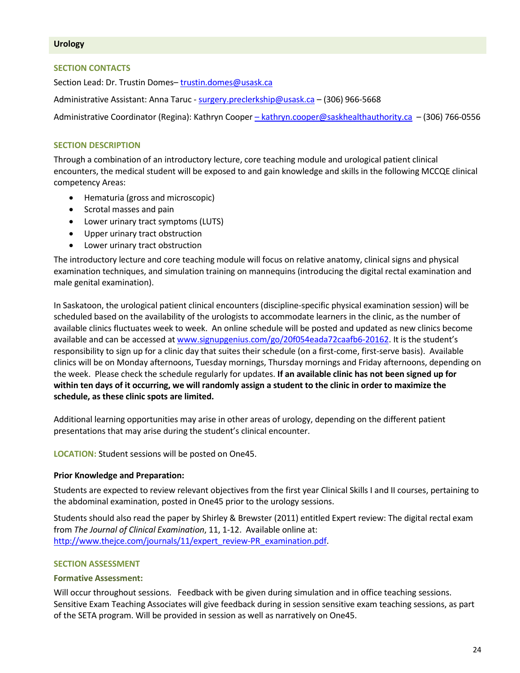#### **SECTION CONTACTS**

Section Lead: Dr. Trustin Domes[– trustin.domes@usask.ca](mailto:trustin.domes@usask.ca)

Administrative Assistant: Anna Taruc - [surgery.preclerkship@usask.ca](mailto:surgery.preclerkship@usask.ca) – (306) 966-5668

Administrative Coordinator (Regina): Kathryn Cooper [– kathryn.cooper@saskhealthauthority.ca](mailto:%E2%80%93%20cassandra.eskra@saskhealthauthority.ca) – (306) 766-0556

## **SECTION DESCRIPTION**

Through a combination of an introductory lecture, core teaching module and urological patient clinical encounters, the medical student will be exposed to and gain knowledge and skills in the following MCCQE clinical competency Areas:

- Hematuria (gross and microscopic)
- Scrotal masses and pain
- Lower urinary tract symptoms (LUTS)
- Upper urinary tract obstruction
- Lower urinary tract obstruction

The introductory lecture and core teaching module will focus on relative anatomy, clinical signs and physical examination techniques, and simulation training on mannequins (introducing the digital rectal examination and male genital examination).

In Saskatoon, the urological patient clinical encounters (discipline-specific physical examination session) will be scheduled based on the availability of the urologists to accommodate learners in the clinic, as the number of available clinics fluctuates week to week. An online schedule will be posted and updated as new clinics become available and can be accessed a[t www.signupgenius.com/go/20f054eada72caafb6-20162.](http://www.signupgenius.com/go/20f054eada72caafb6-20162) It is the student's responsibility to sign up for a clinic day that suites their schedule (on a first-come, first-serve basis). Available clinics will be on Monday afternoons, Tuesday mornings, Thursday mornings and Friday afternoons, depending on the week. Please check the schedule regularly for updates. **If an available clinic has not been signed up for within ten days of it occurring, we will randomly assign a student to the clinic in order to maximize the schedule, as these clinic spots are limited.**

Additional learning opportunities may arise in other areas of urology, depending on the different patient presentations that may arise during the student's clinical encounter.

**LOCATION:** Student sessions will be posted on One45.

#### **Prior Knowledge and Preparation:**

Students are expected to review relevant objectives from the first year Clinical Skills I and II courses, pertaining to the abdominal examination, posted in One45 prior to the urology sessions.

Students should also read the paper by Shirley & Brewster (2011) entitled Expert review: The digital rectal exam from *The Journal of Clinical Examination*, 11, 1-12. Available online at: [http://www.thejce.com/journals/11/expert\\_review-PR\\_examination.pdf.](http://www.thejce.com/journals/11/expert_review-PR_examination.pdf)

#### **SECTION ASSESSMENT**

#### **Formative Assessment:**

Will occur throughout sessions. Feedback with be given during simulation and in office teaching sessions. Sensitive Exam Teaching Associates will give feedback during in session sensitive exam teaching sessions, as part of the SETA program. Will be provided in session as well as narratively on One45.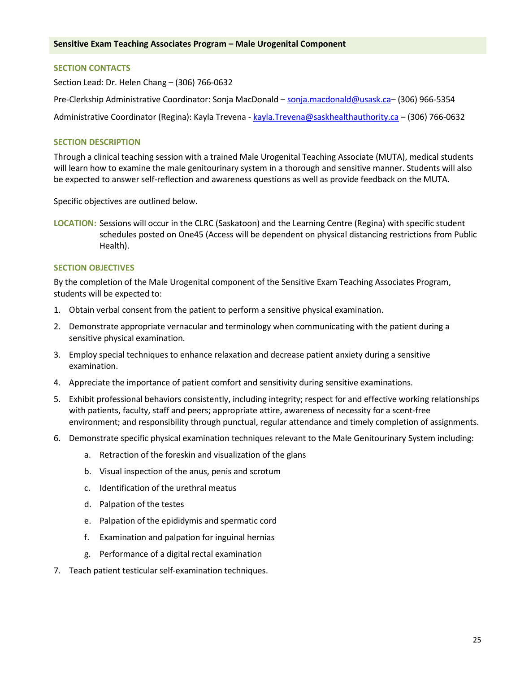## **SECTION CONTACTS**

Section Lead: Dr. Helen Chang – (306) 766-0632

Pre-Clerkship Administrative Coordinator: Sonja MacDonald – [sonja.macdonald@usask.ca–](mailto:megan.jenkins@usask.ca) (306) 966-5354

Administrative Coordinator (Regina): Kayla Trevena - [kayla.Trevena@saskhealthauthority.ca](mailto:kayla.Trevena@saskhealthauthority.ca) - (306) 766-0632

## **SECTION DESCRIPTION**

Through a clinical teaching session with a trained Male Urogenital Teaching Associate (MUTA), medical students will learn how to examine the male genitourinary system in a thorough and sensitive manner. Students will also be expected to answer self-reflection and awareness questions as well as provide feedback on the MUTA.

Specific objectives are outlined below.

**LOCATION:** Sessions will occur in the CLRC (Saskatoon) and the Learning Centre (Regina) with specific student schedules posted on One45 (Access will be dependent on physical distancing restrictions from Public Health).

## **SECTION OBJECTIVES**

By the completion of the Male Urogenital component of the Sensitive Exam Teaching Associates Program, students will be expected to:

- 1. Obtain verbal consent from the patient to perform a sensitive physical examination.
- 2. Demonstrate appropriate vernacular and terminology when communicating with the patient during a sensitive physical examination.
- 3. Employ special techniques to enhance relaxation and decrease patient anxiety during a sensitive examination.
- 4. Appreciate the importance of patient comfort and sensitivity during sensitive examinations.
- 5. Exhibit professional behaviors consistently, including integrity; respect for and effective working relationships with patients, faculty, staff and peers; appropriate attire, awareness of necessity for a scent-free environment; and responsibility through punctual, regular attendance and timely completion of assignments.
- 6. Demonstrate specific physical examination techniques relevant to the Male Genitourinary System including:
	- a. Retraction of the foreskin and visualization of the glans
	- b. Visual inspection of the anus, penis and scrotum
	- c. Identification of the urethral meatus
	- d. Palpation of the testes
	- e. Palpation of the epididymis and spermatic cord
	- f. Examination and palpation for inguinal hernias
	- g. Performance of a digital rectal examination
- 7. Teach patient testicular self-examination techniques.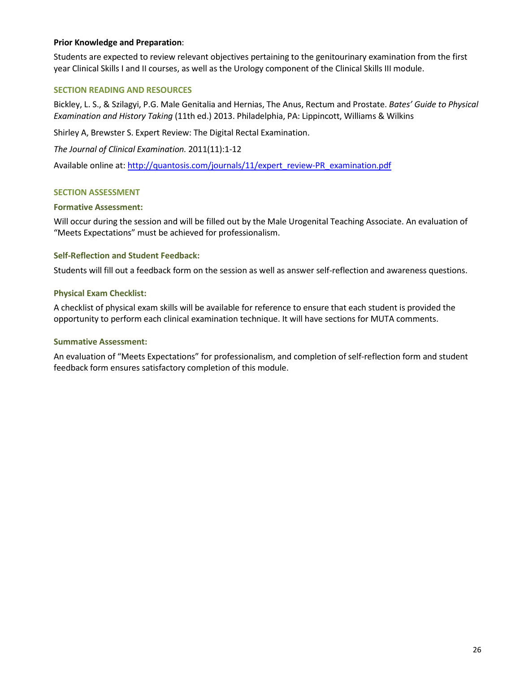## **Prior Knowledge and Preparation**:

Students are expected to review relevant objectives pertaining to the genitourinary examination from the first year Clinical Skills I and II courses, as well as the Urology component of the Clinical Skills III module.

## **SECTION READING AND RESOURCES**

Bickley, L. S., & Szilagyi, P.G. Male Genitalia and Hernias, The Anus, Rectum and Prostate. *Bates' Guide to Physical Examination and History Taking* (11th ed.) 2013. Philadelphia, PA: Lippincott, Williams & Wilkins

Shirley A, Brewster S. Expert Review: The Digital Rectal Examination.

*The Journal of Clinical Examination.* 2011(11):1-12

Available online at: [http://quantosis.com/journals/11/expert\\_review-PR\\_examination.pdf](http://quantosis.com/journals/11/expert_review-PR_examination.pdf)

## **SECTION ASSESSMENT**

#### **Formative Assessment:**

Will occur during the session and will be filled out by the Male Urogenital Teaching Associate. An evaluation of "Meets Expectations" must be achieved for professionalism.

## **Self-Reflection and Student Feedback:**

Students will fill out a feedback form on the session as well as answer self-reflection and awareness questions.

## **Physical Exam Checklist:**

A checklist of physical exam skills will be available for reference to ensure that each student is provided the opportunity to perform each clinical examination technique. It will have sections for MUTA comments.

#### **Summative Assessment:**

An evaluation of "Meets Expectations" for professionalism, and completion of self-reflection form and student feedback form ensures satisfactory completion of this module.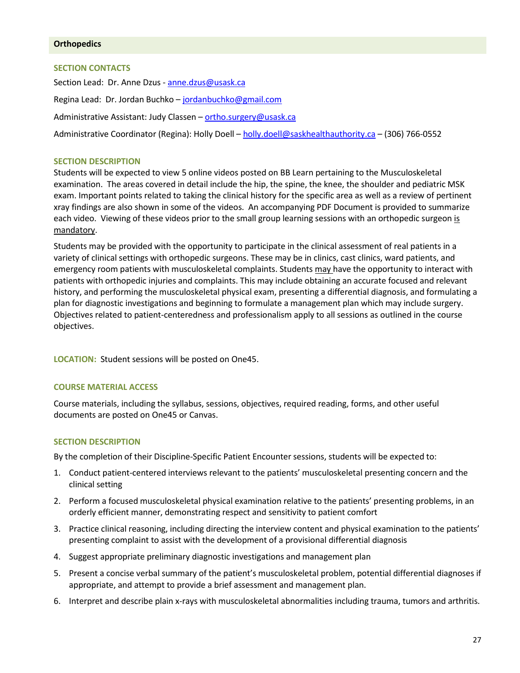### **Orthopedics**

## **SECTION CONTACTS**

Section Lead: Dr. Anne Dzus [- anne.dzus@usask.ca](mailto:anne.dzus@usask.ca) Regina Lead: Dr. Jordan Buchko – jordanbuchko@gmail.com Administrative Assistant: Judy Classen - [ortho.surgery@usask.ca](mailto:ortho.surgery@usask.ca) Administrative Coordinator (Regina): Holly Doell – [holly.doell@saskhealthauthority.ca](mailto:holly.doell@saskhealthauthority.ca) – (306) 766-0552

## **SECTION DESCRIPTION**

Students will be expected to view 5 online videos posted on BB Learn pertaining to the Musculoskeletal examination. The areas covered in detail include the hip, the spine, the knee, the shoulder and pediatric MSK exam. Important points related to taking the clinical history for the specific area as well as a review of pertinent xray findings are also shown in some of the videos. An accompanying PDF Document is provided to summarize each video. Viewing of these videos prior to the small group learning sessions with an orthopedic surgeon is mandatory.

Students may be provided with the opportunity to participate in the clinical assessment of real patients in a variety of clinical settings with orthopedic surgeons. These may be in clinics, cast clinics, ward patients, and emergency room patients with musculoskeletal complaints. Students may have the opportunity to interact with patients with orthopedic injuries and complaints. This may include obtaining an accurate focused and relevant history, and performing the musculoskeletal physical exam, presenting a differential diagnosis, and formulating a plan for diagnostic investigations and beginning to formulate a management plan which may include surgery. Objectives related to patient-centeredness and professionalism apply to all sessions as outlined in the course objectives.

**LOCATION:** Student sessions will be posted on One45.

#### **COURSE MATERIAL ACCESS**

Course materials, including the syllabus, sessions, objectives, required reading, forms, and other useful documents are posted on One45 or Canvas.

## **SECTION DESCRIPTION**

By the completion of their Discipline-Specific Patient Encounter sessions, students will be expected to:

- 1. Conduct patient-centered interviews relevant to the patients' musculoskeletal presenting concern and the clinical setting
- 2. Perform a focused musculoskeletal physical examination relative to the patients' presenting problems, in an orderly efficient manner, demonstrating respect and sensitivity to patient comfort
- 3. Practice clinical reasoning, including directing the interview content and physical examination to the patients' presenting complaint to assist with the development of a provisional differential diagnosis
- 4. Suggest appropriate preliminary diagnostic investigations and management plan
- 5. Present a concise verbal summary of the patient's musculoskeletal problem, potential differential diagnoses if appropriate, and attempt to provide a brief assessment and management plan.
- 6. Interpret and describe plain x-rays with musculoskeletal abnormalities including trauma, tumors and arthritis.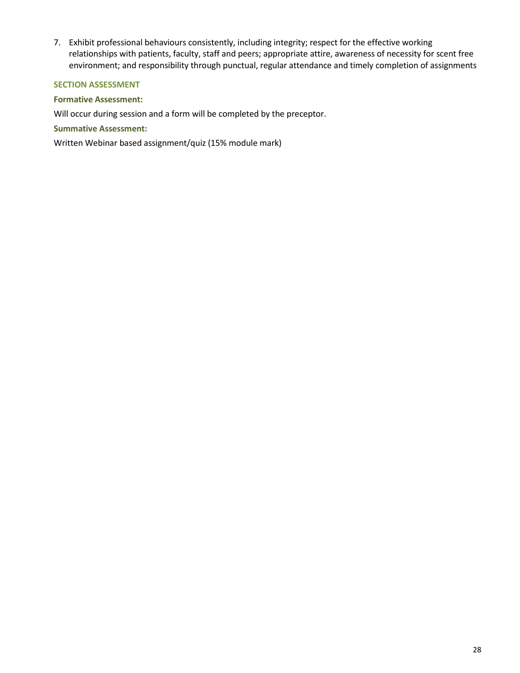7. Exhibit professional behaviours consistently, including integrity; respect for the effective working relationships with patients, faculty, staff and peers; appropriate attire, awareness of necessity for scent free environment; and responsibility through punctual, regular attendance and timely completion of assignments

## **SECTION ASSESSMENT**

## **Formative Assessment:**

Will occur during session and a form will be completed by the preceptor.

## **Summative Assessment:**

Written Webinar based assignment/quiz (15% module mark)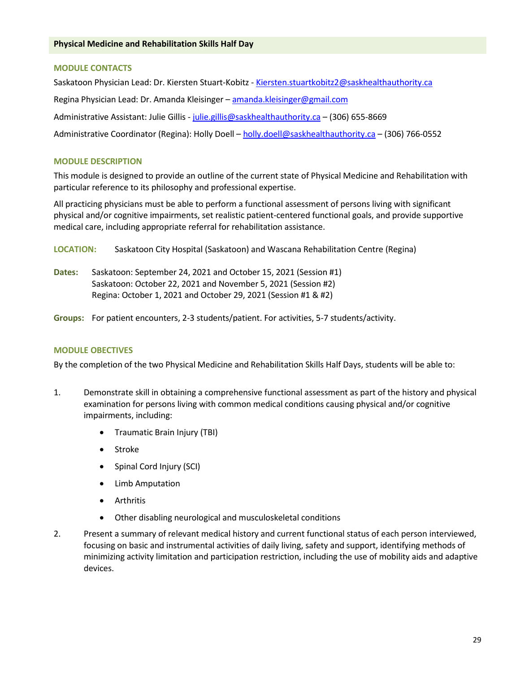## **MODULE CONTACTS**

Saskatoon Physician Lead: Dr. Kiersten Stuart-Kobitz - Kiersten.stuartkobitz2@saskhealthauthority.ca Regina Physician Lead: Dr. Amanda Kleisinger [– amanda.kleisinger@gmail.com](mailto:amanda.kleisinger@gmail.com) Administrative Assistant: Julie Gillis - [julie.gillis@saskhealthauthority.ca](mailto:julie.gillis@saskhealthauthority.ca) - (306) 655-8669 Administrative Coordinator (Regina): Holly Doell - [holly.doell@saskhealthauthority.ca](mailto:holly.doell@saskhealthauthority.ca) - (306) 766-0552

## **MODULE DESCRIPTION**

This module is designed to provide an outline of the current state of Physical Medicine and Rehabilitation with particular reference to its philosophy and professional expertise.

All practicing physicians must be able to perform a functional assessment of persons living with significant physical and/or cognitive impairments, set realistic patient-centered functional goals, and provide supportive medical care, including appropriate referral for rehabilitation assistance.

**LOCATION:** Saskatoon City Hospital (Saskatoon) and Wascana Rehabilitation Centre (Regina)

- **Dates:** Saskatoon: September 24, 2021 and October 15, 2021 (Session #1) Saskatoon: October 22, 2021 and November 5, 2021 (Session #2) Regina: October 1, 2021 and October 29, 2021 (Session #1 & #2)
- **Groups:** For patient encounters, 2-3 students/patient. For activities, 5-7 students/activity.

## **MODULE OBECTIVES**

By the completion of the two Physical Medicine and Rehabilitation Skills Half Days, students will be able to:

- 1. Demonstrate skill in obtaining a comprehensive functional assessment as part of the history and physical examination for persons living with common medical conditions causing physical and/or cognitive impairments, including:
	- Traumatic Brain Injury (TBI)
	- Stroke
	- Spinal Cord Injury (SCI)
	- Limb Amputation
	- Arthritis
	- Other disabling neurological and musculoskeletal conditions
- 2. Present a summary of relevant medical history and current functional status of each person interviewed, focusing on basic and instrumental activities of daily living, safety and support, identifying methods of minimizing activity limitation and participation restriction, including the use of mobility aids and adaptive devices.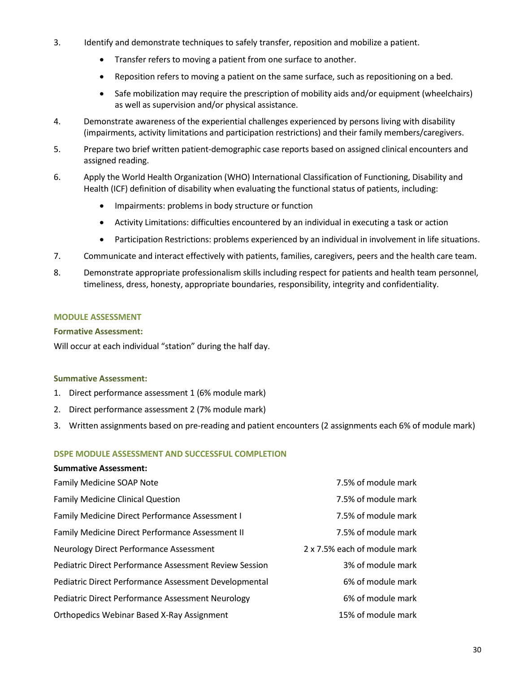- 3. Identify and demonstrate techniques to safely transfer, reposition and mobilize a patient.
	- Transfer refers to moving a patient from one surface to another.
	- Reposition refers to moving a patient on the same surface, such as repositioning on a bed.
	- Safe mobilization may require the prescription of mobility aids and/or equipment (wheelchairs) as well as supervision and/or physical assistance.
- 4. Demonstrate awareness of the experiential challenges experienced by persons living with disability (impairments, activity limitations and participation restrictions) and their family members/caregivers.
- 5. Prepare two brief written patient-demographic case reports based on assigned clinical encounters and assigned reading.
- 6. Apply the World Health Organization (WHO) International Classification of Functioning, Disability and Health (ICF) definition of disability when evaluating the functional status of patients, including:
	- Impairments: problems in body structure or function
	- Activity Limitations: difficulties encountered by an individual in executing a task or action
	- Participation Restrictions: problems experienced by an individual in involvement in life situations.
- 7. Communicate and interact effectively with patients, families, caregivers, peers and the health care team.
- 8. Demonstrate appropriate professionalism skills including respect for patients and health team personnel, timeliness, dress, honesty, appropriate boundaries, responsibility, integrity and confidentiality.

## **MODULE ASSESSMENT**

## **Formative Assessment:**

Will occur at each individual "station" during the half day.

## **Summative Assessment:**

- 1. Direct performance assessment 1 (6% module mark)
- 2. Direct performance assessment 2 (7% module mark)
- 3. Written assignments based on pre-reading and patient encounters (2 assignments each 6% of module mark)

## **DSPE MODULE ASSESSMENT AND SUCCESSFUL COMPLETION**

| Family Medicine SOAP Note                                     | 7.5% of module mark          |
|---------------------------------------------------------------|------------------------------|
| <b>Family Medicine Clinical Question</b>                      | 7.5% of module mark          |
| Family Medicine Direct Performance Assessment I               | 7.5% of module mark          |
| Family Medicine Direct Performance Assessment II              | 7.5% of module mark          |
| Neurology Direct Performance Assessment                       | 2 x 7.5% each of module mark |
| <b>Pediatric Direct Performance Assessment Review Session</b> | 3% of module mark            |
| Pediatric Direct Performance Assessment Developmental         | 6% of module mark            |
| <b>Pediatric Direct Performance Assessment Neurology</b>      | 6% of module mark            |
| <b>Orthopedics Webinar Based X-Ray Assignment</b>             | 15% of module mark           |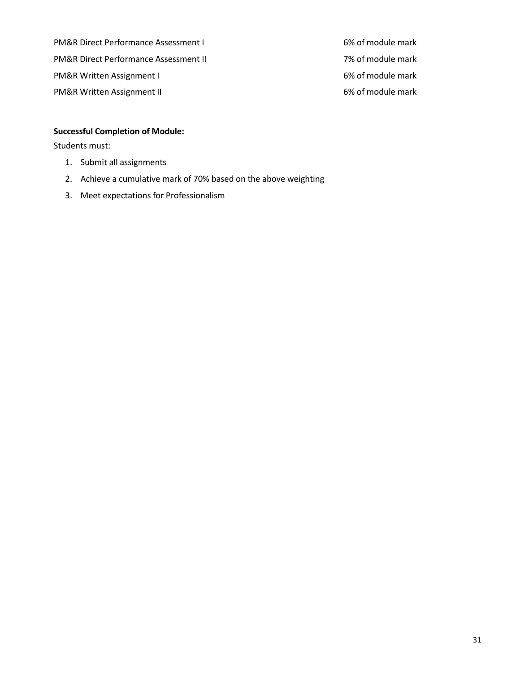PM&R Direct Performance Assessment I 6% of module mark PM&R Direct Performance Assessment II 7% of module mark PM&R Written Assignment I 6% of module mark PM&R Written Assignment II 6% of module mark

# **Successful Completion of Module:**

Students must:

- 1. Submit all assignments
- 2. Achieve a cumulative mark of 70% based on the above weighting
- 3. Meet expectations for Professionalism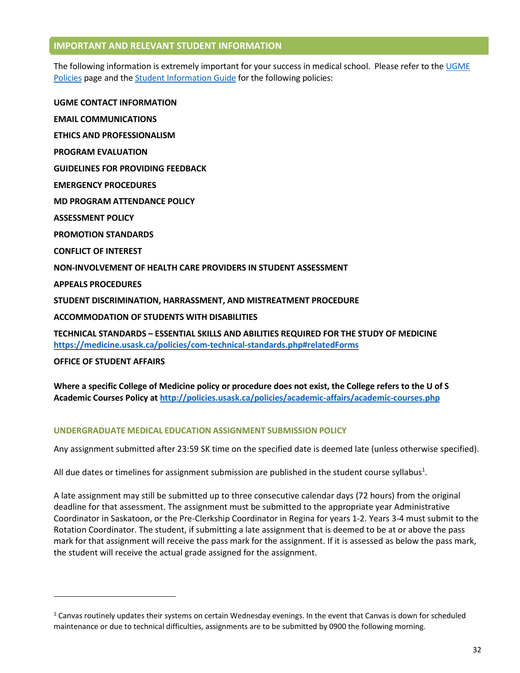## **IMPORTANT AND RELEVANT STUDENT INFORMATION**

The following information is extremely important for your success in medical school. Please refer to the [UGME](http://medicine.usask.ca/students/undergraduate/policies.php)  [Policies p](http://medicine.usask.ca/students/undergraduate/policies.php)age and the [Student Information Guide](http://medicine.usask.ca/students/undergraduate/curriculum-schedules-objectives.php#Aboriginalhealthinthecurriculum) for the following policies:

**UGME CONTACT INFORMATION EMAIL COMMUNICATIONS ETHICS AND PROFESSIONALISM PROGRAM EVALUATION GUIDELINES FOR PROVIDING FEEDBACK\ EMERGENCY PROCEDURES MD PROGRAM ATTENDANCE POLICY ASSESSMENT POLICY PROMOTION STANDARDS CONFLICT OF INTEREST NON-INVOLVEMENT OF HEALTH CARE PROVIDERS IN STUDENT ASSESSMENT APPEALS PROCEDURES STUDENT DISCRIMINATION, HARRASSMENT, AND MISTREATMENT PROCEDURE ACCOMMODATION OF STUDENTS WITH DISABILITIES TECHNICAL STANDARDS – ESSENTIAL SKILLS AND ABILITIES REQUIRED FOR THE STUDY OF MEDICINE <https://medicine.usask.ca/policies/com-technical-standards.php#relatedForms>**

**OFFICE OF STUDENT AFFAIRS**

l

**Where a specific College of Medicine policy or procedure does not exist, the College refers to the U of S Academic Courses Policy at<http://policies.usask.ca/policies/academic-affairs/academic-courses.php>**

# **UNDERGRADUATE MEDICAL EDUCATION ASSIGNMENT SUBMISSION POLICY**

Any assignment submitted after 23:59 SK time on the specified date is deemed late (unless otherwise specified).

All due dates or timelines for assignment submission are published in the student course syllabus<sup>1</sup>.

A late assignment may still be submitted up to three consecutive calendar days (72 hours) from the original deadline for that assessment. The assignment must be submitted to the appropriate year Administrative Coordinator in Saskatoon, or the Pre-Clerkship Coordinator in Regina for years 1-2. Years 3-4 must submit to the Rotation Coordinator. The student, if submitting a late assignment that is deemed to be at or above the pass mark for that assignment will receive the pass mark for the assignment. If it is assessed as below the pass mark, the student will receive the actual grade assigned for the assignment.

 $1$  Canvas routinely updates their systems on certain Wednesday evenings. In the event that Canvas is down for scheduled maintenance or due to technical difficulties, assignments are to be submitted by 0900 the following morning.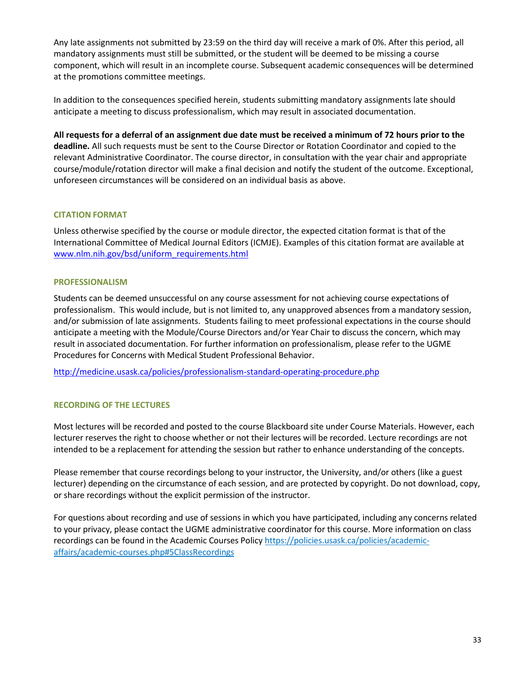Any late assignments not submitted by 23:59 on the third day will receive a mark of 0%. After this period, all mandatory assignments must still be submitted, or the student will be deemed to be missing a course component, which will result in an incomplete course. Subsequent academic consequences will be determined at the promotions committee meetings.

In addition to the consequences specified herein, students submitting mandatory assignments late should anticipate a meeting to discuss professionalism, which may result in associated documentation.

**All requests for a deferral of an assignment due date must be received a minimum of 72 hours prior to the deadline.** All such requests must be sent to the Course Director or Rotation Coordinator and copied to the relevant Administrative Coordinator. The course director, in consultation with the year chair and appropriate course/module/rotation director will make a final decision and notify the student of the outcome. Exceptional, unforeseen circumstances will be considered on an individual basis as above.

# **CITATION FORMAT**

Unless otherwise specified by the course or module director, the expected citation format is that of the International Committee of Medical Journal Editors (ICMJE). Examples of this citation format are available at [www.nlm.nih.gov/bsd/uniform\\_requirements.html](http://www.nlm.nih.gov/bsd/uniform_requirements.html)

## **PROFESSIONALISM**

Students can be deemed unsuccessful on any course assessment for not achieving course expectations of professionalism. This would include, but is not limited to, any unapproved absences from a mandatory session, and/or submission of late assignments. Students failing to meet professional expectations in the course should anticipate a meeting with the Module/Course Directors and/or Year Chair to discuss the concern, which may result in associated documentation. For further information on professionalism, please refer to the UGME Procedures for Concerns with Medical Student Professional Behavior.

<http://medicine.usask.ca/policies/professionalism-standard-operating-procedure.php>

# **RECORDING OF THE LECTURES**

Most lectures will be recorded and posted to the course Blackboard site under Course Materials. However, each lecturer reserves the right to choose whether or not their lectures will be recorded. Lecture recordings are not intended to be a replacement for attending the session but rather to enhance understanding of the concepts.

Please remember that course recordings belong to your instructor, the University, and/or others (like a guest lecturer) depending on the circumstance of each session, and are protected by copyright. Do not download, copy, or share recordings without the explicit permission of the instructor.

For questions about recording and use of sessions in which you have participated, including any concerns related to your privacy, please contact the UGME administrative coordinator for this course. More information on class recordings can be found in the Academic Courses Polic[y https://policies.usask.ca/policies/academic](https://policies.usask.ca/policies/academic-affairs/academic-courses.php#5ClassRecordings)[affairs/academic-courses.php#5ClassRecordings](https://policies.usask.ca/policies/academic-affairs/academic-courses.php#5ClassRecordings)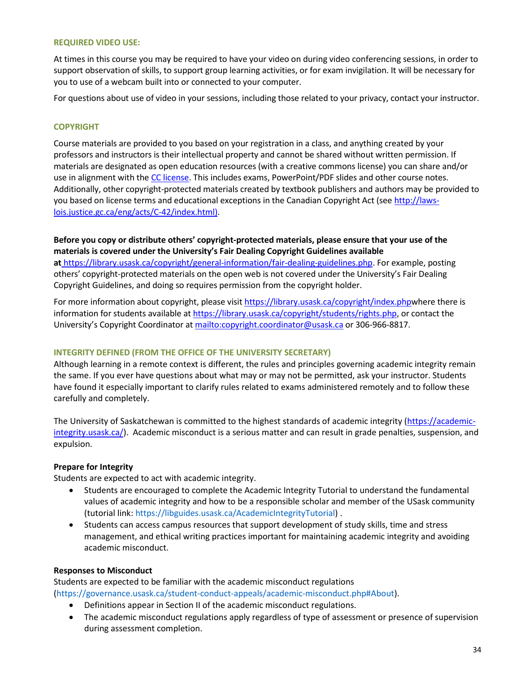#### **REQUIRED VIDEO USE:**

At times in this course you may be required to have your video on during video conferencing sessions, in order to support observation of skills, to support group learning activities, or for exam invigilation. It will be necessary for you to use of a webcam built into or connected to your computer.

For questions about use of video in your sessions, including those related to your privacy, contact your instructor.

## **COPYRIGHT**

Course materials are provided to you based on your registration in a class, and anything created by your professors and instructors is their intellectual property and cannot be shared without written permission. If materials are designated as open education resources (with a creative commons license) you can share and/or use in alignment with the [CC license.](https://openpress.usask.ca/authoring/chapter/creative-commons-licenses/) This includes exams, PowerPoint/PDF slides and other course notes. Additionally, other copyright-protected materials created by textbook publishers and authors may be provided to you based on license terms and educational exceptions in the Canadian Copyright Act (see [http://laws](http://laws-lois.justice.gc.ca/eng/acts/C-42/index.html)[lois.justice.gc.ca/eng/acts/C-42/index.html\).](http://laws-lois.justice.gc.ca/eng/acts/C-42/index.html)

**Before you copy or distribute others' copyright-protected materials, please ensure that your use of the materials is covered under the University's Fair Dealing Copyright Guidelines available at** [https://library.usask.ca/copyright/general-information/fair-dealing-guidelines.php.](https://library.usask.ca/copyright/general-information/fair-dealing-guidelines.php) For example, posting others' copyright-protected materials on the open web is not covered under the University's Fair Dealing Copyright Guidelines, and doing so requires permission from the copyright holder.

For more information about copyright, please visit [https://library.usask.ca/copyright/index.phpw](https://library.usask.ca/copyright/index.php)here there is information for students available at [https://library.usask.ca/copyright/students/rights.php,](https://library.usask.ca/copyright/students/rights.php) or contact the University's Copyright Coordinator at [mailto:copyright.coordinator@usask.ca o](mailto:copyright.coordinator@usask.ca)r 306-966-8817.

#### **INTEGRITY DEFINED (FROM THE OFFICE OF THE UNIVERSITY SECRETARY)**

Although learning in a remote context is different, the rules and principles governing academic integrity remain the same. If you ever have questions about what may or may not be permitted, ask your instructor. Students have found it especially important to clarify rules related to exams administered remotely and to follow these carefully and completely.

The University of Saskatchewan is committed to the highest standards of academic integrity [\(https://academic](https://academic-integrity.usask.ca/)[integrity.usask.ca/\)](https://academic-integrity.usask.ca/). Academic misconduct is a serious matter and can result in grade penalties, suspension, and expulsion.

## **Prepare for Integrity**

Students are expected to act with academic integrity.

- Students are encouraged to complete the Academic Integrity Tutorial to understand the fundamental values of academic integrity and how to be a responsible scholar and member of the USask community (tutorial link[: https://libguides.usask.ca/AcademicIntegrityTutorial\)](https://libguides.usask.ca/AcademicIntegrityTutorial) .
- Students can access campus resources that support development of study skills, time and stress management, and ethical writing practices important for maintaining academic integrity and avoiding academic misconduct.

#### **Responses to Misconduct**

Students are expected to be familiar with the academic misconduct regulations [\(https://governance.usask.ca/student-conduct-appeals/academic-misconduct.php#About\)](https://governance.usask.ca/student-conduct-appeals/academic-misconduct.php#About).

- Definitions appear in Section II of the academic misconduct regulations.
- The academic misconduct regulations apply regardless of type of assessment or presence of supervision during assessment completion.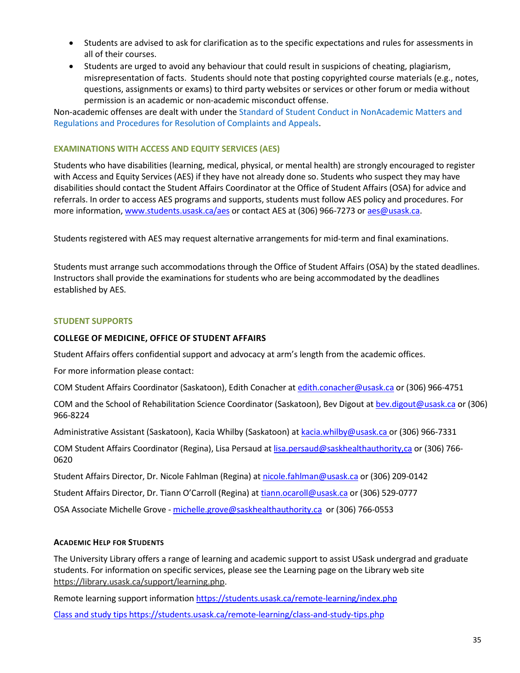- Students are advised to ask for clarification as to the specific expectations and rules for assessments in all of their courses.
- Students are urged to avoid any behaviour that could result in suspicions of cheating, plagiarism, misrepresentation of facts. Students should note that posting copyrighted course materials (e.g., notes, questions, assignments or exams) to third party websites or services or other forum or media without permission is an academic or non-academic misconduct offense.

Non-academic offenses are dealt with under th[e Standard of Student Conduct in NonAcademic Matters and](https://governance.usask.ca/student-conduct-appeals/non-academic-misconduct.php)  [Regulations and Procedures for Resolution of Complaints and Appeals.](https://governance.usask.ca/student-conduct-appeals/non-academic-misconduct.php)

# **EXAMINATIONS WITH ACCESS AND EQUITY SERVICES (AES)**

Students who have disabilities (learning, medical, physical, or mental health) are strongly encouraged to register with Access and Equity Services (AES) if they have not already done so. Students who suspect they may have disabilities should contact the Student Affairs Coordinator at the Office of Student Affairs (OSA) for advice and referrals. In order to access AES programs and supports, students must follow AES policy and procedures. For more information, [www.students.usask.ca/aes o](http://www.students.usask.ca/aes)r contact AES at (306) 966-7273 o[r aes@usask.ca.](mailto:aes@usask.ca)

Students registered with AES may request alternative arrangements for mid-term and final examinations.

Students must arrange such accommodations through the Office of Student Affairs (OSA) by the stated deadlines. Instructors shall provide the examinations for students who are being accommodated by the deadlines established by AES.

## **STUDENT SUPPORTS**

## **COLLEGE OF MEDICINE, OFFICE OF STUDENT AFFAIRS**

Student Affairs offers confidential support and advocacy at arm's length from the academic offices.

For more information please contact:

COM Student Affairs Coordinator (Saskatoon), Edith Conacher a[t edith.conacher@usask.ca](mailto:edith.conacher@usask.ca) or (306) 966-4751

COM and the School of Rehabilitation Science Coordinator (Saskatoon), Bev Digout a[t bev.digout@usask.ca](mailto:bev.digout@usask.ca) or (306) 966-8224

Administrative Assistant (Saskatoon), Kacia Whilby (Saskatoon) at [kacia.whilby@usask.ca](mailto:kacia.whilby@usask.ca) or (306) 966-7331

COM Student Affairs Coordinator (Regina), Lisa Persaud at [lisa.persaud@saskhealthauthority,ca o](mailto:lisa.persaud@saskhealthauthority,ca)r (306) 766- 0620

Student Affairs Director, Dr. Nicole Fahlman (Regina) a[t nicole.fahlman@usask.ca](mailto:nicole.fahlman@usask.ca) or (306) 209-0142

Student Affairs Director, Dr. Tiann O'Carroll (Regina) at [tiann.ocaroll@usask.ca](mailto:tiann.ocaroll@usask.ca) or (306) 529-0777

OSA Associate Michelle [Grove - michelle.grove@saskhealthauthority.ca or \(306\)](mailto:Grove%20-%20michelle.grove@saskhealthauthority.ca%20%20or%20(306)) 766-0553

## **ACADEMIC HELP FOR STUDENTS**

The University Library offers a range of learning and academic support to assist USask undergrad and graduate students. For information on specific services, please see the Learning page on the Library web site [https://library.usask.ca/support/learning.php.](https://library.usask.ca/support/learning.php)

Remote learning support information<https://students.usask.ca/remote-learning/index.php>

Class and study tips<https://students.usask.ca/remote-learning/class-and-study-tips.php>